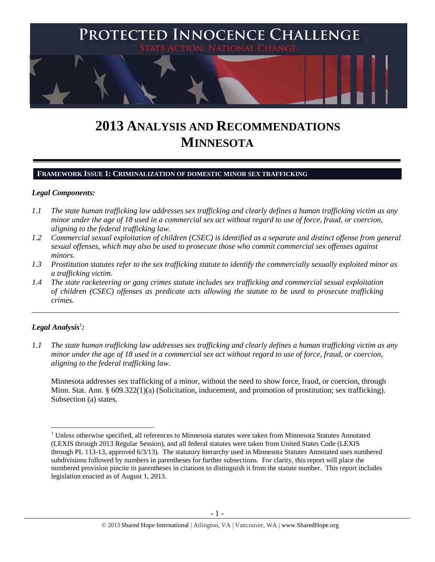

# **2013 ANALYSIS AND RECOMMENDATIONS MINNESOTA**

#### **FRAMEWORK ISSUE 1: CRIMINALIZATION OF DOMESTIC MINOR SEX TRAFFICKING**

#### *Legal Components:*

- *1.1 The state human trafficking law addresses sex trafficking and clearly defines a human trafficking victim as any minor under the age of 18 used in a commercial sex act without regard to use of force, fraud, or coercion, aligning to the federal trafficking law.*
- *1.2 Commercial sexual exploitation of children (CSEC) is identified as a separate and distinct offense from general sexual offenses, which may also be used to prosecute those who commit commercial sex offenses against minors.*
- *1.3 Prostitution statutes refer to the sex trafficking statute to identify the commercially sexually exploited minor as a trafficking victim.*

\_\_\_\_\_\_\_\_\_\_\_\_\_\_\_\_\_\_\_\_\_\_\_\_\_\_\_\_\_\_\_\_\_\_\_\_\_\_\_\_\_\_\_\_\_\_\_\_\_\_\_\_\_\_\_\_\_\_\_\_\_\_\_\_\_\_\_\_\_\_\_\_\_\_\_\_\_\_\_\_\_\_\_\_\_\_\_\_\_\_\_\_\_\_

*1.4 The state racketeering or gang crimes statute includes sex trafficking and commercial sexual exploitation of children (CSEC) offenses as predicate acts allowing the statute to be used to prosecute trafficking crimes.* 

# $\bm{L}$ egal Analysis $^1$ :

 $\overline{\phantom{a}}$ 

*1.1 The state human trafficking law addresses sex trafficking and clearly defines a human trafficking victim as any minor under the age of 18 used in a commercial sex act without regard to use of force, fraud, or coercion, aligning to the federal trafficking law.*

Minnesota addresses sex trafficking of a minor, without the need to show force, fraud, or coercion, through Minn. Stat. Ann. § 609.322(1)(a) (Solicitation, inducement, and promotion of prostitution; sex trafficking). Subsection (a) states,

<sup>&</sup>lt;sup>1</sup> Unless otherwise specified, all references to Minnesota statutes were taken from Minnesota Statutes Annotated (LEXIS through 2013 Regular Session), and all federal statutes were taken from United States Code (LEXIS through PL 113-13, approved 6/3/13). The statutory hierarchy used in Minnesota Statutes Annotated uses numbered subdivisions followed by numbers in parentheses for further subsections. For clarity, this report will place the numbered provision pincite in parentheses in citations to distinguish it from the statute number. This report includes legislation enacted as of August 1, 2013.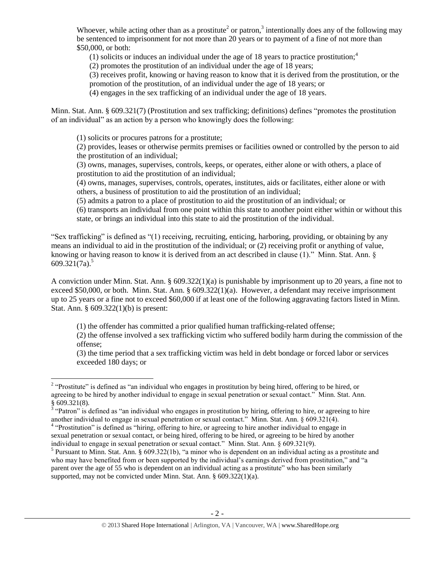Whoever, while acting other than as a prostitute<sup>2</sup> or patron,<sup>3</sup> intentionally does any of the following may be sentenced to imprisonment for not more than 20 years or to payment of a fine of not more than \$50,000, or both:

(1) solicits or induces an individual under the age of 18 years to practice prostitution;<sup>4</sup>

(2) promotes the prostitution of an individual under the age of 18 years;

(3) receives profit, knowing or having reason to know that it is derived from the prostitution, or the

promotion of the prostitution, of an individual under the age of 18 years; or

(4) engages in the sex trafficking of an individual under the age of 18 years.

Minn. Stat. Ann. § 609.321(7) (Prostitution and sex trafficking; definitions) defines "promotes the prostitution of an individual" as an action by a person who knowingly does the following:

(1) solicits or procures patrons for a prostitute;

(2) provides, leases or otherwise permits premises or facilities owned or controlled by the person to aid the prostitution of an individual;

(3) owns, manages, supervises, controls, keeps, or operates, either alone or with others, a place of prostitution to aid the prostitution of an individual;

(4) owns, manages, supervises, controls, operates, institutes, aids or facilitates, either alone or with others, a business of prostitution to aid the prostitution of an individual;

(5) admits a patron to a place of prostitution to aid the prostitution of an individual; or

(6) transports an individual from one point within this state to another point either within or without this state, or brings an individual into this state to aid the prostitution of the individual.

"Sex trafficking" is defined as "(1) receiving, recruiting, enticing, harboring, providing, or obtaining by any means an individual to aid in the prostitution of the individual; or (2) receiving profit or anything of value, knowing or having reason to know it is derived from an act described in clause (1)." Minn. Stat. Ann. § 609.321 $(7a)^5$ 

A conviction under Minn. Stat. Ann. § 609.322(1)(a) is punishable by imprisonment up to 20 years, a fine not to exceed \$50,000, or both. Minn. Stat. Ann. § 609.322(1)(a). However, a defendant may receive imprisonment up to 25 years or a fine not to exceed \$60,000 if at least one of the following aggravating factors listed in Minn. Stat. Ann. § 609.322(1)(b) is present:

(1) the offender has committed a prior qualified human trafficking-related offense;

(2) the offense involved a sex trafficking victim who suffered bodily harm during the commission of the offense;

(3) the time period that a sex trafficking victim was held in debt bondage or forced labor or services exceeded 180 days; or

 $\overline{\phantom{a}}$ <sup>2</sup> "Prostitute" is defined as "an individual who engages in prostitution by being hired, offering to be hired, or agreeing to be hired by another individual to engage in sexual penetration or sexual contact." Minn. Stat. Ann.

<sup>§ 609.321(8).&</sup>lt;br><sup>3</sup> "Patron" is defined as "an individual who engages in prostitution by hiring, offering to hire, or agreeing to hire another individual to engage in sexual penetration or sexual contact." Minn. Stat. Ann. § 609.321(4).

<sup>&</sup>lt;sup>4</sup> "Prostitution" is defined as "hiring, offering to hire, or agreeing to hire another individual to engage in sexual penetration or sexual contact, or being hired, offering to be hired, or agreeing to be hired by another individual to engage in sexual penetration or sexual contact." Minn. Stat. Ann. § 609.321(9).

<sup>&</sup>lt;sup>5</sup> Pursuant to Minn. Stat. Ann.  $\S 609.322(1b)$ , "a minor who is dependent on an individual acting as a prostitute and who may have benefited from or been supported by the individual's earnings derived from prostitution," and "a parent over the age of 55 who is dependent on an individual acting as a prostitute" who has been similarly supported, may not be convicted under Minn. Stat. Ann. § 609.322(1)(a).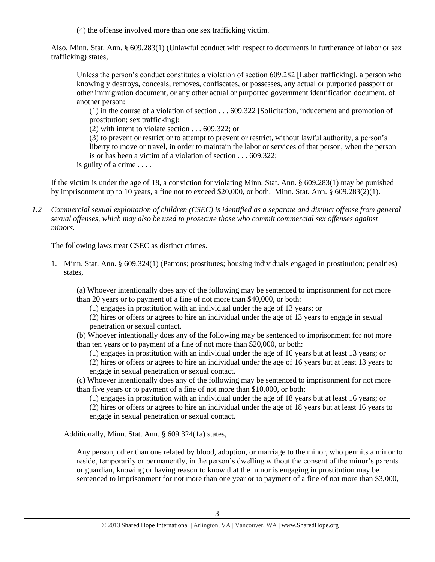(4) the offense involved more than one sex trafficking victim.

Also, Minn. Stat. Ann. § 609.283(1) (Unlawful conduct with respect to documents in furtherance of labor or sex trafficking) states,

Unless the person's conduct constitutes a violation of section 609.282 [Labor trafficking], a person who knowingly destroys, conceals, removes, confiscates, or possesses, any actual or purported passport or other immigration document, or any other actual or purported government identification document, of another person:

(1) in the course of a violation of section . . . 609.322 [Solicitation, inducement and promotion of prostitution; sex trafficking];

(2) with intent to violate section . . . 609.322; or

(3) to prevent or restrict or to attempt to prevent or restrict, without lawful authority, a person's liberty to move or travel, in order to maintain the labor or services of that person, when the person is or has been a victim of a violation of section . . . 609.322;

is guilty of a crime . . . .

If the victim is under the age of 18, a conviction for violating Minn. Stat. Ann. § 609.283(1) may be punished by imprisonment up to 10 years, a fine not to exceed \$20,000, or both. Minn. Stat. Ann. § 609.283(2)(1).

*1.2 Commercial sexual exploitation of children (CSEC) is identified as a separate and distinct offense from general sexual offenses, which may also be used to prosecute those who commit commercial sex offenses against minors.*

The following laws treat CSEC as distinct crimes.

1. Minn. Stat. Ann. § 609.324(1) (Patrons; prostitutes; housing individuals engaged in prostitution; penalties) states,

(a) Whoever intentionally does any of the following may be sentenced to imprisonment for not more than 20 years or to payment of a fine of not more than \$40,000, or both:

(1) engages in prostitution with an individual under the age of 13 years; or

(2) hires or offers or agrees to hire an individual under the age of 13 years to engage in sexual penetration or sexual contact.

(b) Whoever intentionally does any of the following may be sentenced to imprisonment for not more than ten years or to payment of a fine of not more than \$20,000, or both:

(1) engages in prostitution with an individual under the age of 16 years but at least 13 years; or (2) hires or offers or agrees to hire an individual under the age of 16 years but at least 13 years to engage in sexual penetration or sexual contact.

(c) Whoever intentionally does any of the following may be sentenced to imprisonment for not more than five years or to payment of a fine of not more than \$10,000, or both:

(1) engages in prostitution with an individual under the age of 18 years but at least 16 years; or (2) hires or offers or agrees to hire an individual under the age of 18 years but at least 16 years to engage in sexual penetration or sexual contact.

Additionally, Minn. Stat. Ann. § 609.324(1a) states,

Any person, other than one related by blood, adoption, or marriage to the minor, who permits a minor to reside, temporarily or permanently, in the person's dwelling without the consent of the minor's parents or guardian, knowing or having reason to know that the minor is engaging in prostitution may be sentenced to imprisonment for not more than one year or to payment of a fine of not more than \$3,000,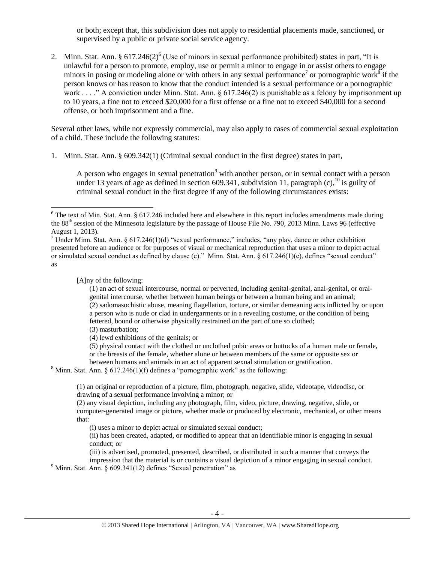<span id="page-3-3"></span><span id="page-3-2"></span><span id="page-3-0"></span>or both; except that, this subdivision does not apply to residential placements made, sanctioned, or supervised by a public or private social service agency.

2. Minn. Stat. Ann.  $\S 617.246(2)^6$  (Use of minors in sexual performance prohibited) states in part, "It is unlawful for a person to promote, employ, use or permit a minor to engage in or assist others to engage minors in posing or modeling alone or with others in any sexual performance<sup>7</sup> or pornographic work<sup>8</sup> if the person knows or has reason to know that the conduct intended is a sexual performance or a pornographic work . . . ." A conviction under Minn. Stat. Ann. § 617.246(2) is punishable as a felony by imprisonment up to 10 years, a fine not to exceed \$20,000 for a first offense or a fine not to exceed \$40,000 for a second offense, or both imprisonment and a fine.

Several other laws, while not expressly commercial, may also apply to cases of commercial sexual exploitation of a child. These include the following statutes:

1. Minn. Stat. Ann. § 609.342(1) (Criminal sexual conduct in the first degree) states in part,

<span id="page-3-1"></span>A person who engages in sexual penetration<sup>9</sup> with another person, or in sexual contact with a person under 13 years of age as defined in section 609.341, subdivision 11, paragraph (c), <sup>10</sup> is guilty of criminal sexual conduct in the first degree if any of the following circumstances exists:

[A]ny of the following:

 $\overline{\phantom{a}}$ 

(1) an act of sexual intercourse, normal or perverted, including genital-genital, anal-genital, or oralgenital intercourse, whether between human beings or between a human being and an animal; (2) sadomasochistic abuse, meaning flagellation, torture, or similar demeaning acts inflicted by or upon a person who is nude or clad in undergarments or in a revealing costume, or the condition of being fettered, bound or otherwise physically restrained on the part of one so clothed; (3) masturbation;

(4) lewd exhibitions of the genitals; or

(5) physical contact with the clothed or unclothed pubic areas or buttocks of a human male or female, or the breasts of the female, whether alone or between members of the same or opposite sex or between humans and animals in an act of apparent sexual stimulation or gratification.

<sup>8</sup> Minn. Stat. Ann. § 617.246(1)(f) defines a "pornographic work" as the following:

(1) an original or reproduction of a picture, film, photograph, negative, slide, videotape, videodisc, or drawing of a sexual performance involving a minor; or

(2) any visual depiction, including any photograph, film, video, picture, drawing, negative, slide, or computer-generated image or picture, whether made or produced by electronic, mechanical, or other means that:

(i) uses a minor to depict actual or simulated sexual conduct;

(ii) has been created, adapted, or modified to appear that an identifiable minor is engaging in sexual conduct; or

(iii) is advertised, promoted, presented, described, or distributed in such a manner that conveys the impression that the material is or contains a visual depiction of a minor engaging in sexual conduct.

 $9$  Minn. Stat. Ann. § 609.341(12) defines "Sexual penetration" as

 $6$  The text of Min. Stat. Ann. § 617.246 included here and elsewhere in this report includes amendments made during the  $88<sup>th</sup>$  session of the Minnesota legislature by the passage of House File No. 790, 2013 Minn. Laws 96 (effective August 1, 2013).

<sup>&</sup>lt;sup>7</sup> Under Minn. Stat. Ann. § 617.246(1)(d) "sexual performance," includes, "any play, dance or other exhibition presented before an audience or for purposes of visual or mechanical reproduction that uses a minor to depict actual or simulated sexual conduct as defined by clause (e)." Minn. Stat. Ann. § 617.246(1)(e), defines "sexual conduct" as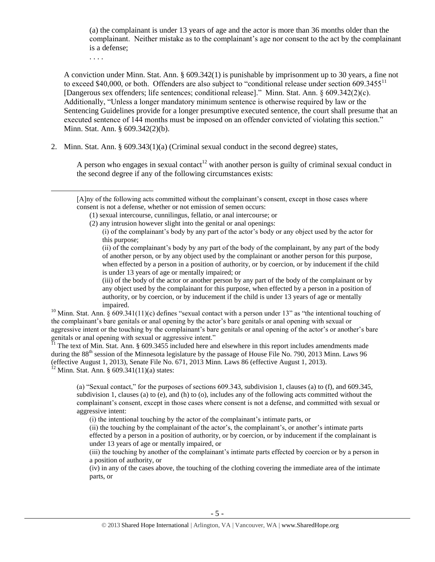(a) the complainant is under 13 years of age and the actor is more than 36 months older than the complainant. Neither mistake as to the complainant's age nor consent to the act by the complainant is a defense;

. . . .

l

A conviction under Minn. Stat. Ann. § 609.342(1) is punishable by imprisonment up to 30 years, a fine not to exceed \$40,000, or both. Offenders are also subject to "conditional release under section 609.3455<sup>11</sup> [Dangerous sex offenders; life sentences; conditional release]." Minn. Stat. Ann. § 609.342(2)(c). Additionally, "Unless a longer mandatory minimum sentence is otherwise required by law or the Sentencing Guidelines provide for a longer presumptive executed sentence, the court shall presume that an executed sentence of 144 months must be imposed on an offender convicted of violating this section." Minn. Stat. Ann. § 609.342(2)(b).

2. Minn. Stat. Ann. § 609.343(1)(a) (Criminal sexual conduct in the second degree) states,

A person who engages in sexual contact<sup>12</sup> with another person is guilty of criminal sexual conduct in the second degree if any of the following circumstances exists:

[A]ny of the following acts committed without the complainant's consent, except in those cases where consent is not a defense, whether or not emission of semen occurs:

- (1) sexual intercourse, cunnilingus, fellatio, or anal intercourse; or
- (2) any intrusion however slight into the genital or anal openings:

(i) of the complainant's body by any part of the actor's body or any object used by the actor for this purpose;

(ii) of the complainant's body by any part of the body of the complainant, by any part of the body of another person, or by any object used by the complainant or another person for this purpose, when effected by a person in a position of authority, or by coercion, or by inducement if the child is under 13 years of age or mentally impaired; or

(iii) of the body of the actor or another person by any part of the body of the complainant or by any object used by the complainant for this purpose, when effected by a person in a position of authority, or by coercion, or by inducement if the child is under 13 years of age or mentally impaired.

<sup>10</sup> Minn. Stat. Ann. § 609.341(11)(c) defines "sexual contact with a person under 13" as "the intentional touching of the complainant's bare genitals or anal opening by the actor's bare genitals or anal opening with sexual or aggressive intent or the touching by the complainant's bare genitals or anal opening of the actor's or another's bare genitals or anal opening with sexual or aggressive intent."

 $\frac{1}{11}$  The text of Min. Stat. Ann. § 609.3455 included here and elsewhere in this report includes amendments made during the 88<sup>th</sup> session of the Minnesota legislature by the passage of House File No. 790, 2013 Minn. Laws 96 (effective August 1, 2013), Senate File No. 671, 2013 Minn. Laws 86 (effective August 1, 2013).  $12$  Minn. Stat. Ann. § 609.341(11)(a) states:

(a) "Sexual contact," for the purposes of sections 609.343, subdivision 1, clauses (a) to (f), and 609.345, subdivision 1, clauses (a) to (e), and (h) to (o), includes any of the following acts committed without the complainant's consent, except in those cases where consent is not a defense, and committed with sexual or aggressive intent:

(i) the intentional touching by the actor of the complainant's intimate parts, or

(ii) the touching by the complainant of the actor's, the complainant's, or another's intimate parts effected by a person in a position of authority, or by coercion, or by inducement if the complainant is under 13 years of age or mentally impaired, or

(iii) the touching by another of the complainant's intimate parts effected by coercion or by a person in a position of authority, or

(iv) in any of the cases above, the touching of the clothing covering the immediate area of the intimate parts, or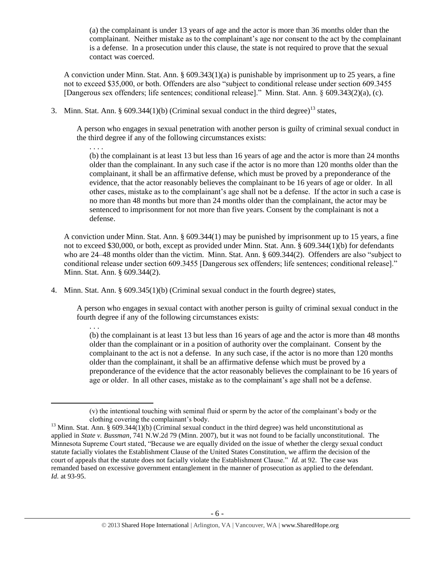(a) the complainant is under 13 years of age and the actor is more than 36 months older than the complainant. Neither mistake as to the complainant's age nor consent to the act by the complainant is a defense. In a prosecution under this clause, the state is not required to prove that the sexual contact was coerced.

A conviction under Minn. Stat. Ann.  $\S 609.343(1)(a)$  is punishable by imprisonment up to 25 years, a fine not to exceed \$35,000, or both. Offenders are also "subject to conditional release under section 609.3455 [Dangerous sex offenders; life sentences; conditional release]." Minn. Stat. Ann. § 609.343(2)(a), (c).

3. Minn. Stat. Ann. § 609.344(1)(b) (Criminal sexual conduct in the third degree)<sup>13</sup> states,

A person who engages in sexual penetration with another person is guilty of criminal sexual conduct in the third degree if any of the following circumstances exists:

<span id="page-5-0"></span>. . . . (b) the complainant is at least 13 but less than 16 years of age and the actor is more than 24 months older than the complainant. In any such case if the actor is no more than 120 months older than the complainant, it shall be an affirmative defense, which must be proved by a preponderance of the evidence, that the actor reasonably believes the complainant to be 16 years of age or older. In all other cases, mistake as to the complainant's age shall not be a defense. If the actor in such a case is no more than 48 months but more than 24 months older than the complainant, the actor may be sentenced to imprisonment for not more than five years. Consent by the complainant is not a defense.

A conviction under Minn. Stat. Ann. § 609.344(1) may be punished by imprisonment up to 15 years, a fine not to exceed \$30,000, or both, except as provided under Minn. Stat. Ann. § 609.344(1)(b) for defendants who are 24–48 months older than the victim. Minn. Stat. Ann. § 609.344(2). Offenders are also "subject to conditional release under section 609.3455 [Dangerous sex offenders; life sentences; conditional release]." Minn. Stat. Ann. § 609.344(2).

4. Minn. Stat. Ann. § 609.345(1)(b) (Criminal sexual conduct in the fourth degree) states,

A person who engages in sexual contact with another person is guilty of criminal sexual conduct in the fourth degree if any of the following circumstances exists:

. . .

 $\overline{\phantom{a}}$ 

(b) the complainant is at least 13 but less than 16 years of age and the actor is more than 48 months older than the complainant or in a position of authority over the complainant. Consent by the complainant to the act is not a defense. In any such case, if the actor is no more than 120 months older than the complainant, it shall be an affirmative defense which must be proved by a preponderance of the evidence that the actor reasonably believes the complainant to be 16 years of age or older. In all other cases, mistake as to the complainant's age shall not be a defense.

<sup>(</sup>v) the intentional touching with seminal fluid or sperm by the actor of the complainant's body or the clothing covering the complainant's body.

<sup>&</sup>lt;sup>13</sup> Minn. Stat. Ann. § 609.344(1)(b) (Criminal sexual conduct in the third degree) was held unconstitutional as applied in *State v. Bussman*, 741 N.W.2d 79 (Minn. 2007), but it was not found to be facially unconstitutional. The Minnesota Supreme Court stated, "Because we are equally divided on the issue of whether the clergy sexual conduct statute facially violates the Establishment Clause of the United States Constitution, we affirm the decision of the court of appeals that the statute does not facially violate the Establishment Clause." *Id.* at 92. The case was remanded based on excessive government entanglement in the manner of prosecution as applied to the defendant. *Id.* at 93-95.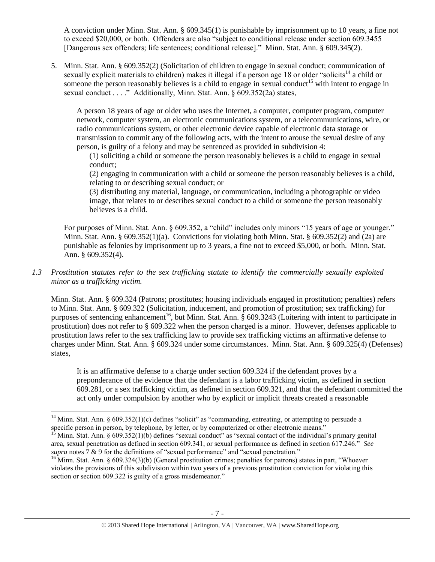A conviction under Minn. Stat. Ann. § 609.345(1) is punishable by imprisonment up to 10 years, a fine not to exceed \$20,000, or both. Offenders are also "subject to conditional release under section 609.3455 [Dangerous sex offenders; life sentences; conditional release]." Minn. Stat. Ann. § 609.345(2).

5. Minn. Stat. Ann. § 609.352(2) (Solicitation of children to engage in sexual conduct; communication of sexually explicit materials to children) makes it illegal if a person age 18 or older "solicits<sup>14</sup> a child or someone the person reasonably believes is a child to engage in sexual conduct<sup>15</sup> with intent to engage in sexual conduct . . . ." Additionally, Minn. Stat. Ann. § 609.352(2a) states,

A person 18 years of age or older who uses the Internet, a computer, computer program, computer network, computer system, an electronic communications system, or a telecommunications, wire, or radio communications system, or other electronic device capable of electronic data storage or transmission to commit any of the following acts, with the intent to arouse the sexual desire of any person, is guilty of a felony and may be sentenced as provided in subdivision 4:

<span id="page-6-1"></span><span id="page-6-0"></span>(1) soliciting a child or someone the person reasonably believes is a child to engage in sexual conduct;

(2) engaging in communication with a child or someone the person reasonably believes is a child, relating to or describing sexual conduct; or

(3) distributing any material, language, or communication, including a photographic or video image, that relates to or describes sexual conduct to a child or someone the person reasonably believes is a child.

For purposes of Minn. Stat. Ann. § 609.352, a "child" includes only minors "15 years of age or younger." Minn. Stat. Ann.  $\S 609.352(1)(a)$ . Convictions for violating both Minn. Stat.  $\S 609.352(2)$  and (2a) are punishable as felonies by imprisonment up to 3 years, a fine not to exceed \$5,000, or both. Minn. Stat. Ann. § 609.352(4).

# *1.3 Prostitution statutes refer to the sex trafficking statute to identify the commercially sexually exploited minor as a trafficking victim.*

Minn. Stat. Ann. § 609.324 (Patrons; prostitutes; housing individuals engaged in prostitution; penalties) refers to Minn. Stat. Ann. § 609.322 (Solicitation, inducement, and promotion of prostitution; sex trafficking) for purposes of sentencing enhancement<sup>16</sup>, but Minn. Stat. Ann.  $\hat{\S}$  609.3243 (Loitering with intent to participate in prostitution) does not refer to § 609.322 when the person charged is a minor. However, defenses applicable to prostitution laws refer to the sex trafficking law to provide sex trafficking victims an affirmative defense to charges under Minn. Stat. Ann. § 609.324 under some circumstances. Minn. Stat. Ann. § 609.325(4) (Defenses) states,

It is an affirmative defense to a charge under section 609.324 if the defendant proves by a preponderance of the evidence that the defendant is a labor trafficking victim, as defined in section 609.281, or a sex trafficking victim, as defined in section 609.321, and that the defendant committed the act only under compulsion by another who by explicit or implicit threats created a reasonable

<sup>&</sup>lt;sup>14</sup> Minn. Stat. Ann. § 609.352(1)(c) defines "solicit" as "commanding, entreating, or attempting to persuade a specific person in person, by telephone, by letter, or by computerized or other electronic means."

 $15$  Minn. Stat. Ann. § 609.352(1)(b) defines "sexual conduct" as "sexual contact of the individual's primary genital area, sexual penetration as defined in section 609.341, or sexual performance as defined in section 617.246." *See supra* notes [7](#page-3-0) [& 9](#page-3-1) for the definitions of "sexual performance" and "sexual penetration."

<sup>&</sup>lt;sup>16</sup> Minn. Stat. Ann. § 609.324(3)(b) (General prostitution crimes; penalties for patrons) states in part, "Whoever violates the provisions of this subdivision within two years of a previous prostitution conviction for violating this section or section 609.322 is guilty of a gross misdemeanor."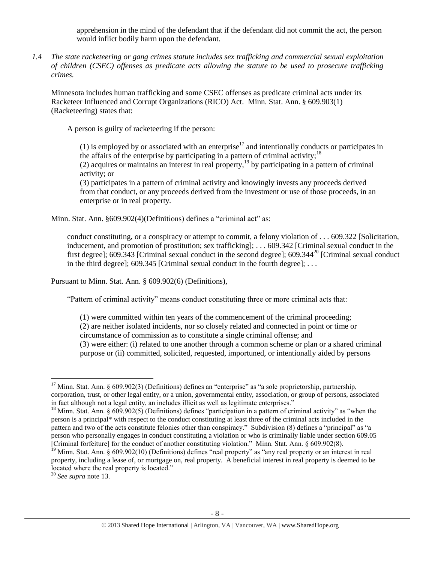apprehension in the mind of the defendant that if the defendant did not commit the act, the person would inflict bodily harm upon the defendant.

*1.4 The state racketeering or gang crimes statute includes sex trafficking and commercial sexual exploitation of children (CSEC) offenses as predicate acts allowing the statute to be used to prosecute trafficking crimes.* 

Minnesota includes human trafficking and some CSEC offenses as predicate criminal acts under its Racketeer Influenced and Corrupt Organizations (RICO) Act. Minn. Stat. Ann. § 609.903(1) (Racketeering) states that:

A person is guilty of racketeering if the person:

(1) is employed by or associated with an enterprise<sup>17</sup> and intentionally conducts or participates in the affairs of the enterprise by participating in a pattern of criminal activity;<sup>18</sup>

(2) acquires or maintains an interest in real property,<sup>19</sup> by participating in a pattern of criminal activity; or

(3) participates in a pattern of criminal activity and knowingly invests any proceeds derived from that conduct, or any proceeds derived from the investment or use of those proceeds, in an enterprise or in real property.

Minn. Stat. Ann. §609.902(4)(Definitions) defines a "criminal act" as:

conduct constituting, or a conspiracy or attempt to commit, a felony violation of . . . 609.322 [Solicitation, inducement, and promotion of prostitution; sex trafficking]; . . . 609.342 [Criminal sexual conduct in the first degree]; 609.343 [Criminal sexual conduct in the second degree]; 609.344<sup>20</sup> [Criminal sexual conduct in the third degree];  $609.345$  [Criminal sexual conduct in the fourth degree];  $\dots$ 

Pursuant to Minn. Stat. Ann. § 609.902(6) (Definitions),

"Pattern of criminal activity" means conduct constituting three or more criminal acts that:

(1) were committed within ten years of the commencement of the criminal proceeding;

(2) are neither isolated incidents, nor so closely related and connected in point or time or

circumstance of commission as to constitute a single criminal offense; and

(3) were either: (i) related to one another through a common scheme or plan or a shared criminal purpose or (ii) committed, solicited, requested, importuned, or intentionally aided by persons

 $\overline{\phantom{a}}$ 

<sup>&</sup>lt;sup>17</sup> Minn. Stat. Ann. § 609.902(3) (Definitions) defines an "enterprise" as "a sole proprietorship, partnership, corporation, trust, or other legal entity, or a union, governmental entity, association, or group of persons, associated in fact although not a legal entity, an includes illicit as well as legitimate enterprises."

<sup>&</sup>lt;sup>18</sup> Minn. Stat. Ann. § 609.902(5) (Definitions) defines "participation in a pattern of criminal activity" as "when the person is a principal\* with respect to the conduct constituting at least three of the criminal acts included in the pattern and two of the acts constitute felonies other than conspiracy." Subdivision (8) defines a "principal" as "a person who personally engages in conduct constituting a violation or who is criminally liable under section 609.05 [Criminal forfeiture] for the conduct of another constituting violation." Minn. Stat. Ann. § 609.902(8).

<sup>&</sup>lt;sup>19</sup> Minn. Stat. Ann. § 609.902(10) (Definitions) defines "real property" as "any real property or an interest in real property, including a lease of, or mortgage on, real property. A beneficial interest in real property is deemed to be located where the real property is located."

<sup>20</sup> *See supra* note [13.](#page-5-0)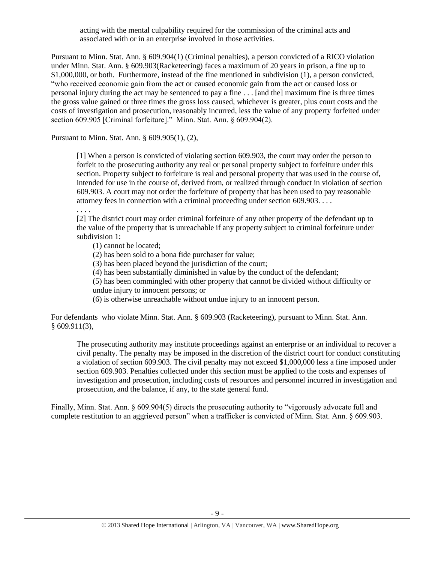acting with the mental culpability required for the commission of the criminal acts and associated with or in an enterprise involved in those activities.

Pursuant to Minn. Stat. Ann. § 609.904(1) (Criminal penalties), a person convicted of a RICO violation under Minn. Stat. Ann. § 609.903(Racketeering) faces a maximum of 20 years in prison, a fine up to \$1,000,000, or both. Furthermore, instead of the fine mentioned in subdivision (1), a person convicted, "who received economic gain from the act or caused economic gain from the act or caused loss or personal injury during the act may be sentenced to pay a fine . . . [and the] maximum fine is three times the gross value gained or three times the gross loss caused, whichever is greater, plus court costs and the costs of investigation and prosecution, reasonably incurred, less the value of any property forfeited under section 609.905 [Criminal forfeiture]." Minn. Stat. Ann. § 609.904(2).

Pursuant to Minn. Stat. Ann. § 609.905(1), (2),

[1] When a person is convicted of violating section 609.903, the court may order the person to forfeit to the prosecuting authority any real or personal property subject to forfeiture under this section. Property subject to forfeiture is real and personal property that was used in the course of, intended for use in the course of, derived from, or realized through conduct in violation of section 609.903. A court may not order the forfeiture of property that has been used to pay reasonable attorney fees in connection with a criminal proceeding under section 609.903. . . .

. . . .

[2] The district court may order criminal forfeiture of any other property of the defendant up to the value of the property that is unreachable if any property subject to criminal forfeiture under subdivision 1:

(1) cannot be located;

(2) has been sold to a bona fide purchaser for value;

(3) has been placed beyond the jurisdiction of the court;

(4) has been substantially diminished in value by the conduct of the defendant;

(5) has been commingled with other property that cannot be divided without difficulty or undue injury to innocent persons; or

(6) is otherwise unreachable without undue injury to an innocent person.

For defendants who violate Minn. Stat. Ann. § 609.903 (Racketeering), pursuant to Minn. Stat. Ann. § 609.911(3),

The prosecuting authority may institute proceedings against an enterprise or an individual to recover a civil penalty. The penalty may be imposed in the discretion of the district court for conduct constituting a violation of section 609.903. The civil penalty may not exceed \$1,000,000 less a fine imposed under section 609.903. Penalties collected under this section must be applied to the costs and expenses of investigation and prosecution, including costs of resources and personnel incurred in investigation and prosecution, and the balance, if any, to the state general fund.

Finally, Minn. Stat. Ann. § 609.904(5) directs the prosecuting authority to "vigorously advocate full and complete restitution to an aggrieved person" when a trafficker is convicted of Minn. Stat. Ann. § 609.903.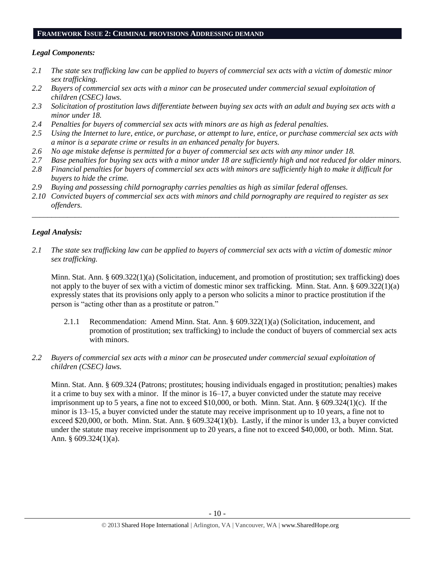#### **FRAMEWORK ISSUE 2: CRIMINAL PROVISIONS ADDRESSING DEMAND**

#### *Legal Components:*

- *2.1 The state sex trafficking law can be applied to buyers of commercial sex acts with a victim of domestic minor sex trafficking.*
- *2.2 Buyers of commercial sex acts with a minor can be prosecuted under commercial sexual exploitation of children (CSEC) laws.*
- *2.3 Solicitation of prostitution laws differentiate between buying sex acts with an adult and buying sex acts with a minor under 18.*
- *2.4 Penalties for buyers of commercial sex acts with minors are as high as federal penalties.*
- *2.5 Using the Internet to lure, entice, or purchase, or attempt to lure, entice, or purchase commercial sex acts with a minor is a separate crime or results in an enhanced penalty for buyers.*
- *2.6 No age mistake defense is permitted for a buyer of commercial sex acts with any minor under 18.*
- *2.7 Base penalties for buying sex acts with a minor under 18 are sufficiently high and not reduced for older minors.*
- *2.8 Financial penalties for buyers of commercial sex acts with minors are sufficiently high to make it difficult for buyers to hide the crime.*
- *2.9 Buying and possessing child pornography carries penalties as high as similar federal offenses.*
- *2.10 Convicted buyers of commercial sex acts with minors and child pornography are required to register as sex offenders.*

\_\_\_\_\_\_\_\_\_\_\_\_\_\_\_\_\_\_\_\_\_\_\_\_\_\_\_\_\_\_\_\_\_\_\_\_\_\_\_\_\_\_\_\_\_\_\_\_\_\_\_\_\_\_\_\_\_\_\_\_\_\_\_\_\_\_\_\_\_\_\_\_\_\_\_\_\_\_\_\_\_\_\_\_\_\_\_\_\_\_\_\_\_\_

## *Legal Analysis:*

*2.1 The state sex trafficking law can be applied to buyers of commercial sex acts with a victim of domestic minor sex trafficking.*

Minn. Stat. Ann. § 609.322(1)(a) (Solicitation, inducement, and promotion of prostitution; sex trafficking) does not apply to the buyer of sex with a victim of domestic minor sex trafficking. Minn. Stat. Ann. § 609.322(1)(a) expressly states that its provisions only apply to a person who solicits a minor to practice prostitution if the person is "acting other than as a prostitute or patron."

- 2.1.1 Recommendation: Amend Minn. Stat. Ann. § 609.322(1)(a) (Solicitation, inducement, and promotion of prostitution; sex trafficking) to include the conduct of buyers of commercial sex acts with minors.
- *2.2 Buyers of commercial sex acts with a minor can be prosecuted under commercial sexual exploitation of children (CSEC) laws.*

Minn. Stat. Ann. § 609.324 (Patrons; prostitutes; housing individuals engaged in prostitution; penalties) makes it a crime to buy sex with a minor. If the minor is 16–17, a buyer convicted under the statute may receive imprisonment up to 5 years, a fine not to exceed \$10,000, or both. Minn. Stat. Ann. § 609.324(1)(c). If the minor is 13–15, a buyer convicted under the statute may receive imprisonment up to 10 years, a fine not to exceed \$20,000, or both. Minn. Stat. Ann. § 609.324(1)(b). Lastly, if the minor is under 13, a buyer convicted under the statute may receive imprisonment up to 20 years, a fine not to exceed \$40,000, or both. Minn. Stat. Ann. § 609.324(1)(a).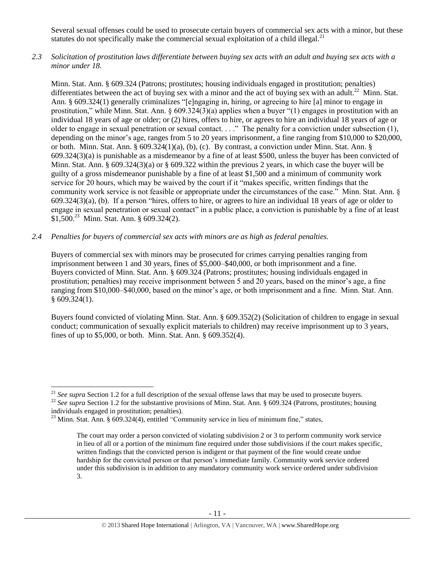Several sexual offenses could be used to prosecute certain buyers of commercial sex acts with a minor, but these statutes do not specifically make the commercial sexual exploitation of a child illegal. $^{21}$ 

*2.3 Solicitation of prostitution laws differentiate between buying sex acts with an adult and buying sex acts with a minor under 18.*

Minn. Stat. Ann. § 609.324 (Patrons; prostitutes; housing individuals engaged in prostitution; penalties) differentiates between the act of buying sex with a minor and the act of buying sex with an adult.<sup>22</sup> Minn. Stat. Ann. § 609.324(1) generally criminalizes "[e]ngaging in, hiring, or agreeing to hire [a] minor to engage in prostitution," while Minn. Stat. Ann.  $\S 609.324(3)(a)$  applies when a buyer "(1) engages in prostitution with an individual 18 years of age or older; or (2) hires, offers to hire, or agrees to hire an individual 18 years of age or older to engage in sexual penetration or sexual contact. . . ." The penalty for a conviction under subsection (1), depending on the minor's age, ranges from 5 to 20 years imprisonment, a fine ranging from \$10,000 to \$20,000, or both. Minn. Stat. Ann. § 609.324(1)(a), (b), (c). By contrast, a conviction under Minn. Stat. Ann. § 609.324(3)(a) is punishable as a misdemeanor by a fine of at least \$500, unless the buyer has been convicted of Minn. Stat. Ann. § 609.324(3)(a) or § 609.322 within the previous 2 years, in which case the buyer will be guilty of a gross misdemeanor punishable by a fine of at least \$1,500 and a minimum of community work service for 20 hours, which may be waived by the court if it "makes specific, written findings that the community work service is not feasible or appropriate under the circumstances of the case." Minn. Stat. Ann. § 609.324(3)(a), (b). If a person "hires, offers to hire, or agrees to hire an individual 18 years of age or older to engage in sexual penetration or sexual contact" in a public place, a conviction is punishable by a fine of at least \$1,500.<sup>23</sup> Minn. Stat. Ann. § 609.324(2).

*2.4 Penalties for buyers of commercial sex acts with minors are as high as federal penalties.*

Buyers of commercial sex with minors may be prosecuted for crimes carrying penalties ranging from imprisonment between 1 and 30 years, fines of \$5,000–\$40,000, or both imprisonment and a fine. Buyers convicted of Minn. Stat. Ann. § 609.324 (Patrons; prostitutes; housing individuals engaged in prostitution; penalties) may receive imprisonment between 5 and 20 years, based on the minor's age, a fine ranging from \$10,000–\$40,000, based on the minor's age, or both imprisonment and a fine. Minn. Stat. Ann. § 609.324(1).

Buyers found convicted of violating Minn. Stat. Ann. § 609.352(2) (Solicitation of children to engage in sexual conduct; communication of sexually explicit materials to children) may receive imprisonment up to 3 years, fines of up to \$5,000, or both. Minn. Stat. Ann. § 609.352(4).

l <sup>21</sup> *See supra* Section 1.2 for a full description of the sexual offense laws that may be used to prosecute buyers.

<sup>&</sup>lt;sup>22</sup> See supra Section 1.2 for the substantive provisions of Minn. Stat. Ann. § 609.324 (Patrons, prostitutes; housing individuals engaged in prostitution; penalties).

 $^{23}$  Minn. Stat. Ann. § 609.324(4), entitled "Community service in lieu of minimum fine," states,

The court may order a person convicted of violating subdivision 2 or 3 to perform community work service in lieu of all or a portion of the minimum fine required under those subdivisions if the court makes specific, written findings that the convicted person is indigent or that payment of the fine would create undue hardship for the convicted person or that person's immediate family. Community work service ordered under this subdivision is in addition to any mandatory community work service ordered under subdivision 3.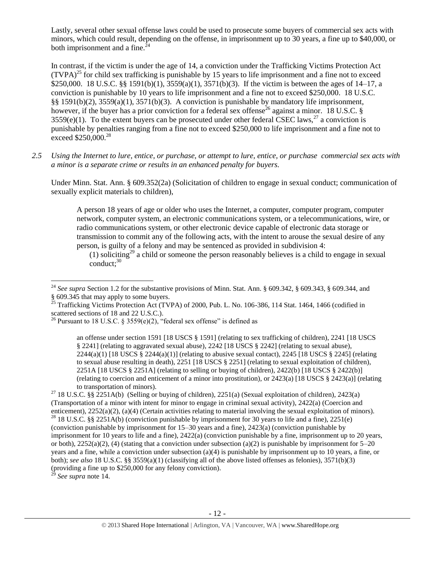Lastly, several other sexual offense laws could be used to prosecute some buyers of commercial sex acts with minors, which could result, depending on the offense, in imprisonment up to 30 years, a fine up to \$40,000, or both imprisonment and a fine. $^{24}$ 

<span id="page-11-0"></span>In contrast, if the victim is under the age of 14, a conviction under the Trafficking Victims Protection Act  $(TVPA)^{25}$  for child sex trafficking is punishable by 15 years to life imprisonment and a fine not to exceed \$250,000. 18 U.S.C. §§ 1591(b)(1), 3559(a)(1), 3571(b)(3). If the victim is between the ages of 14–17, a conviction is punishable by 10 years to life imprisonment and a fine not to exceed \$250,000. 18 U.S.C. §§ 1591(b)(2), 3559(a)(1), 3571(b)(3). A conviction is punishable by mandatory life imprisonment, however, if the buyer has a prior conviction for a federal sex offense<sup>26</sup> against a minor. 18 U.S.C. §  $3559(e)(1)$ . To the extent buyers can be prosecuted under other federal CSEC laws,<sup>27</sup> a conviction is punishable by penalties ranging from a fine not to exceed \$250,000 to life imprisonment and a fine not to exceed \$250,000.<sup>28</sup>

*2.5 Using the Internet to lure, entice, or purchase, or attempt to lure, entice, or purchase commercial sex acts with a minor is a separate crime or results in an enhanced penalty for buyers.*

Under Minn. Stat. Ann. § 609.352(2a) (Solicitation of children to engage in sexual conduct; communication of sexually explicit materials to children),

<span id="page-11-1"></span>A person 18 years of age or older who uses the Internet, a computer, computer program, computer network, computer system, an electronic communications system, or a telecommunications, wire, or radio communications system, or other electronic device capable of electronic data storage or transmission to commit any of the following acts, with the intent to arouse the sexual desire of any person, is guilty of a felony and may be sentenced as provided in subdivision 4:

(1) soliciting<sup>29</sup> a child or someone the person reasonably believes is a child to engage in sexual conduct: $30$ 

<sup>29</sup> *See supra* note [14.](#page-6-0)

 $\overline{\phantom{a}}$ 

<sup>&</sup>lt;sup>24</sup> See supra Section 1.2 for the substantive provisions of Minn. Stat. Ann. § 609.342, § 609.343, § 609.344, and  $§ 609.345$  that may apply to some buyers.

<sup>25</sup> Trafficking Victims Protection Act (TVPA) of 2000, Pub. L. No. 106-386, 114 Stat. 1464, 1466 (codified in scattered sections of 18 and 22 U.S.C.).

<sup>&</sup>lt;sup>26</sup> Pursuant to 18 U.S.C. § 3559(e)(2), "federal sex offense" is defined as

an offense under section 1591 [18 USCS § 1591] (relating to sex trafficking of children), 2241 [18 USCS § 2241] (relating to aggravated sexual abuse), 2242 [18 USCS § 2242] (relating to sexual abuse),  $2244(a)(1)$  [18 USCS §  $2244(a)(1)$ ] (relating to abusive sexual contact),  $2245$  [18 USCS § 2245] (relating to sexual abuse resulting in death), 2251 [18 USCS § 2251] (relating to sexual exploitation of children), 2251A [18 USCS § 2251A] (relating to selling or buying of children), 2422(b) [18 USCS § 2422(b)] (relating to coercion and enticement of a minor into prostitution), or 2423(a) [18 USCS § 2423(a)] (relating to transportation of minors).

<sup>&</sup>lt;sup>27</sup> 18 U.S.C. §§ 2251A(b) (Selling or buying of children), 2251(a) (Sexual exploitation of children), 2423(a) (Transportation of a minor with intent for minor to engage in criminal sexual activity), 2422(a) (Coercion and enticement), 2252(a)(2), (a)(4) (Certain activities relating to material involving the sexual exploitation of minors). <sup>28</sup> 18 U.S.C. §§ 2251A(b) (conviction punishable by imprisonment for 30 years to life and a fine), 2251(e) (conviction punishable by imprisonment for 15–30 years and a fine), 2423(a) (conviction punishable by imprisonment for 10 years to life and a fine), 2422(a) (conviction punishable by a fine, imprisonment up to 20 years, or both),  $2252(a)(2)$ , (4) (stating that a conviction under subsection (a)(2) is punishable by imprisonment for  $5-20$ years and a fine, while a conviction under subsection (a)(4) is punishable by imprisonment up to 10 years, a fine, or both); *see also* 18 U.S.C. §§ 3559(a)(1) (classifying all of the above listed offenses as felonies), 3571(b)(3) (providing a fine up to \$250,000 for any felony conviction).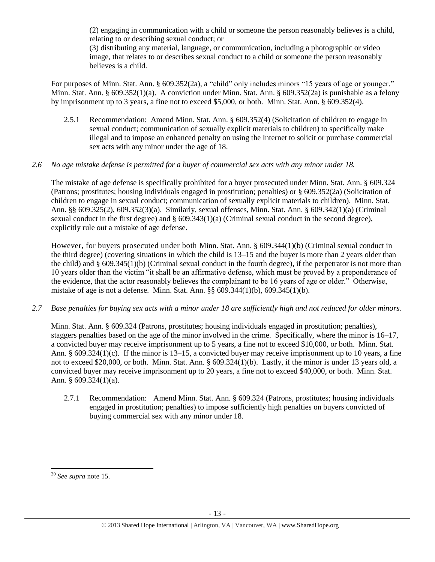(2) engaging in communication with a child or someone the person reasonably believes is a child, relating to or describing sexual conduct; or

(3) distributing any material, language, or communication, including a photographic or video image, that relates to or describes sexual conduct to a child or someone the person reasonably believes is a child.

For purposes of Minn. Stat. Ann. § 609.352(2a), a "child" only includes minors "15 years of age or younger." Minn. Stat. Ann. § 609.352(1)(a). A conviction under Minn. Stat. Ann. § 609.352(2a) is punishable as a felony by imprisonment up to 3 years, a fine not to exceed \$5,000, or both. Minn. Stat. Ann. § 609.352(4).

2.5.1 Recommendation: Amend Minn. Stat. Ann. § 609.352(4) (Solicitation of children to engage in sexual conduct; communication of sexually explicit materials to children) to specifically make illegal and to impose an enhanced penalty on using the Internet to solicit or purchase commercial sex acts with any minor under the age of 18.

## *2.6 No age mistake defense is permitted for a buyer of commercial sex acts with any minor under 18.*

The mistake of age defense is specifically prohibited for a buyer prosecuted under Minn. Stat. Ann. § 609.324 (Patrons; prostitutes; housing individuals engaged in prostitution; penalties) or § 609.352(2a) (Solicitation of children to engage in sexual conduct; communication of sexually explicit materials to children). Minn. Stat. Ann. §§ 609.325(2), 609.352(3)(a). Similarly, sexual offenses, Minn. Stat. Ann. § 609.342(1)(a) (Criminal sexual conduct in the first degree) and § 609.343(1)(a) (Criminal sexual conduct in the second degree), explicitly rule out a mistake of age defense.

However, for buyers prosecuted under both Minn. Stat. Ann. § 609.344(1)(b) (Criminal sexual conduct in the third degree) (covering situations in which the child is 13–15 and the buyer is more than 2 years older than the child) and § 609.345(1)(b) (Criminal sexual conduct in the fourth degree), if the perpetrator is not more than 10 years older than the victim "it shall be an affirmative defense, which must be proved by a preponderance of the evidence, that the actor reasonably believes the complainant to be 16 years of age or older." Otherwise, mistake of age is not a defense. Minn. Stat. Ann. §§ 609.344(1)(b), 609.345(1)(b).

# *2.7 Base penalties for buying sex acts with a minor under 18 are sufficiently high and not reduced for older minors.*

Minn. Stat. Ann. § 609.324 (Patrons, prostitutes; housing individuals engaged in prostitution; penalties), staggers penalties based on the age of the minor involved in the crime. Specifically, where the minor is 16–17, a convicted buyer may receive imprisonment up to 5 years, a fine not to exceed \$10,000, or both. Minn. Stat. Ann. § 609.324(1)(c). If the minor is 13–15, a convicted buyer may receive imprisonment up to 10 years, a fine not to exceed \$20,000, or both. Minn. Stat. Ann. § 609.324(1)(b). Lastly, if the minor is under 13 years old, a convicted buyer may receive imprisonment up to 20 years, a fine not to exceed \$40,000, or both. Minn. Stat. Ann. § 609.324(1)(a).

2.7.1 Recommendation: Amend Minn. Stat. Ann. § 609.324 (Patrons, prostitutes; housing individuals engaged in prostitution; penalties) to impose sufficiently high penalties on buyers convicted of buying commercial sex with any minor under 18.

 $\overline{a}$ <sup>30</sup> *See supra* note [15.](#page-6-1)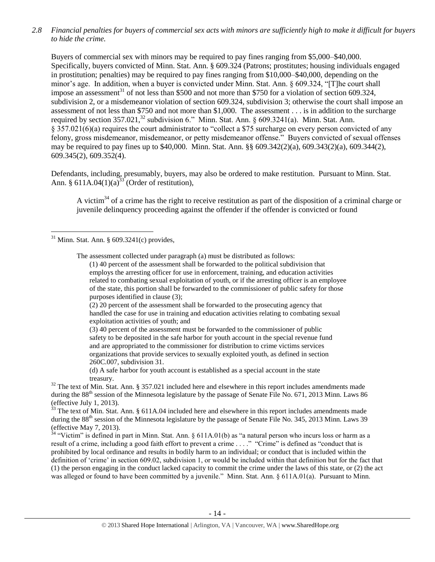*2.8 Financial penalties for buyers of commercial sex acts with minors are sufficiently high to make it difficult for buyers to hide the crime.*

<span id="page-13-0"></span>Buyers of commercial sex with minors may be required to pay fines ranging from \$5,000–\$40,000. Specifically, buyers convicted of Minn. Stat. Ann. § 609.324 (Patrons; prostitutes; housing individuals engaged in prostitution; penalties) may be required to pay fines ranging from \$10,000–\$40,000, depending on the minor's age. In addition, when a buyer is convicted under Minn. Stat. Ann. § 609.324, "[T]he court shall impose an assessment<sup>31</sup> of not less than \$500 and not more than \$750 for a violation of section 609.324, subdivision 2, or a misdemeanor violation of section 609.324, subdivision 3; otherwise the court shall impose an assessment of not less than \$750 and not more than \$1,000. The assessment . . . is in addition to the surcharge required by section  $357.021$ ,<sup>32</sup> subdivision 6." Minn. Stat. Ann. § 609.3241(a). Minn. Stat. Ann. § 357.021(6)(a) requires the court administrator to "collect a \$75 surcharge on every person convicted of any felony, gross misdemeanor, misdemeanor, or petty misdemeanor offense." Buyers convicted of sexual offenses may be required to pay fines up to \$40,000. Minn. Stat. Ann. §§ 609.342(2)(a), 609.343(2)(a), 609.344(2), 609.345(2), 609.352(4).

Defendants, including, presumably, buyers, may also be ordered to make restitution. Pursuant to Minn. Stat. Ann. § 611A.04 $(1)(a)^{33}$  (Order of restitution),

<span id="page-13-3"></span><span id="page-13-2"></span><span id="page-13-1"></span>A victim<sup>34</sup> of a crime has the right to receive restitution as part of the disposition of a criminal charge or juvenile delinquency proceeding against the offender if the offender is convicted or found

 $\overline{\phantom{a}}$ 

The assessment collected under paragraph (a) must be distributed as follows: (1) 40 percent of the assessment shall be forwarded to the political subdivision that employs the arresting officer for use in enforcement, training, and education activities related to combating sexual exploitation of youth, or if the arresting officer is an employee of the state, this portion shall be forwarded to the commissioner of public safety for those purposes identified in clause (3);

(2) 20 percent of the assessment shall be forwarded to the prosecuting agency that handled the case for use in training and education activities relating to combating sexual exploitation activities of youth; and

(3) 40 percent of the assessment must be forwarded to the commissioner of public safety to be deposited in the safe harbor for youth account in the special revenue fund and are appropriated to the commissioner for distribution to crime victims services organizations that provide services to sexually exploited youth, as defined in section 260C.007, subdivision 31.

(d) A safe harbor for youth account is established as a special account in the state treasury.

 $32$  The text of Min. Stat. Ann. § 357.021 included here and elsewhere in this report includes amendments made during the 88<sup>th</sup> session of the Minnesota legislature by the passage of Senate File No. 671, 2013 Minn. Laws 86 (effective July 1, 2013).

 $33$  The text of Min. Stat. Ann. § 611A.04 included here and elsewhere in this report includes amendments made during the 88<sup>th</sup> session of the Minnesota legislature by the passage of Senate File No. 345, 2013 Minn. Laws 39 (effective May 7, 2013).

 $34$  "Victim" is defined in part in Minn. Stat. Ann. § 611A.01(b) as "a natural person who incurs loss or harm as a result of a crime, including a good faith effort to prevent a crime . . . ." "Crime" is defined as "conduct that is prohibited by local ordinance and results in bodily harm to an individual; or conduct that is included within the definition of 'crime' in section 609.02, subdivision 1, or would be included within that definition but for the fact that (1) the person engaging in the conduct lacked capacity to commit the crime under the laws of this state, or (2) the act was alleged or found to have been committed by a juvenile." Minn. Stat. Ann. § 611A.01(a). Pursuant to Minn.

 $31$  Minn. Stat. Ann. § 609.3241(c) provides.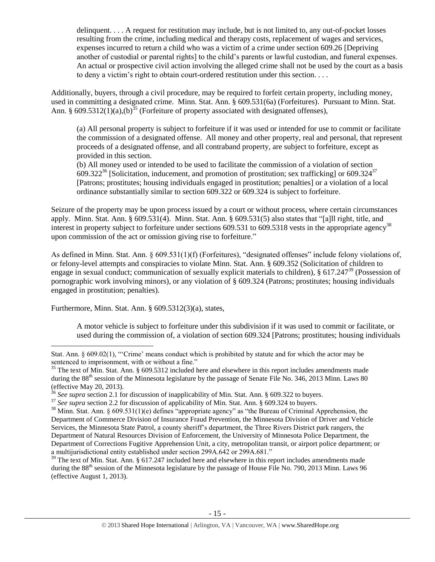delinquent. . . . A request for restitution may include, but is not limited to, any out-of-pocket losses resulting from the crime, including medical and therapy costs, replacement of wages and services, expenses incurred to return a child who was a victim of a crime under section 609.26 [Depriving another of custodial or parental rights] to the child's parents or lawful custodian, and funeral expenses. An actual or prospective civil action involving the alleged crime shall not be used by the court as a basis to deny a victim's right to obtain court-ordered restitution under this section. . . .

Additionally, buyers, through a civil procedure, may be required to forfeit certain property, including money, used in committing a designated crime. Minn. Stat. Ann. § 609.531(6a) (Forfeitures). Pursuant to Minn. Stat. Ann. § 609.5312(1)(a),(b)<sup>35</sup> (Forfeiture of property associated with designated offenses).

<span id="page-14-1"></span>(a) All personal property is subject to forfeiture if it was used or intended for use to commit or facilitate the commission of a designated offense. All money and other property, real and personal, that represent proceeds of a designated offense, and all contraband property, are subject to forfeiture, except as provided in this section.

<span id="page-14-2"></span>(b) All money used or intended to be used to facilitate the commission of a violation of section 609.322<sup>36</sup> [Solicitation, inducement, and promotion of prostitution; sex trafficking] or 609.324<sup>37</sup> [Patrons; prostitutes; housing individuals engaged in prostitution; penalties] or a violation of a local ordinance substantially similar to section 609.322 or 609.324 is subject to forfeiture.

Seizure of the property may be upon process issued by a court or without process, where certain circumstances apply. Minn. Stat. Ann. § 609.531(4). Minn. Stat. Ann. § 609.531(5) also states that "[a]ll right, title, and interest in property subject to forfeiture under sections 609.531 to 609.5318 vests in the appropriate agency<sup>38</sup> upon commission of the act or omission giving rise to forfeiture."

As defined in Minn. Stat. Ann. § 609.531(1)(f) (Forfeitures), "designated offenses" include felony violations of, or felony-level attempts and conspiracies to violate Minn. Stat. Ann. § 609.352 (Solicitation of children to engage in sexual conduct; communication of sexually explicit materials to children),  $\S 617.247^{39}$  (Possession of pornographic work involving minors), or any violation of § 609.324 (Patrons; prostitutes; housing individuals engaged in prostitution; penalties).

Furthermore, Minn. Stat. Ann. § 609.5312(3)(a), states,

 $\overline{a}$ 

<span id="page-14-0"></span>A motor vehicle is subject to forfeiture under this subdivision if it was used to commit or facilitate, or used during the commission of, a violation of section 609.324 [Patrons; prostitutes; housing individuals

Stat. Ann. § 609.02(1), "'Crime' means conduct which is prohibited by statute and for which the actor may be sentenced to imprisonment, with or without a fine."

 $35$  The text of Min. Stat. Ann. § 609.5312 included here and elsewhere in this report includes amendments made during the  $88<sup>th</sup>$  session of the Minnesota legislature by the passage of Senate File No. 346, 2013 Minn. Laws 80 (effective May 20, 2013).

<sup>&</sup>lt;sup>36</sup> See supra section 2.1 for discussion of inapplicability of Min. Stat. Ann. § 609.322 to buyers.

<sup>&</sup>lt;sup>37</sup> See supra section 2.2 for discussion of applicability of Min. Stat. Ann. § 609.324 to buyers.

<sup>&</sup>lt;sup>38</sup> Minn. Stat. Ann. § 609.531(1)(e) defines "appropriate agency" as "the Bureau of Criminal Apprehension, the Department of Commerce Division of Insurance Fraud Prevention, the Minnesota Division of Driver and Vehicle Services, the Minnesota State Patrol, a county sheriff's department, the Three Rivers District park rangers, the Department of Natural Resources Division of Enforcement, the University of Minnesota Police Department, the Department of Corrections Fugitive Apprehension Unit, a city, metropolitan transit, or airport police department; or a multijurisdictional entity established under section 299A.642 or 299A.681."

 $39$  The text of Min. Stat. Ann. § 617.247 included here and elsewhere in this report includes amendments made during the 88<sup>th</sup> session of the Minnesota legislature by the passage of House File No. 790, 2013 Minn. Laws 96 (effective August 1, 2013).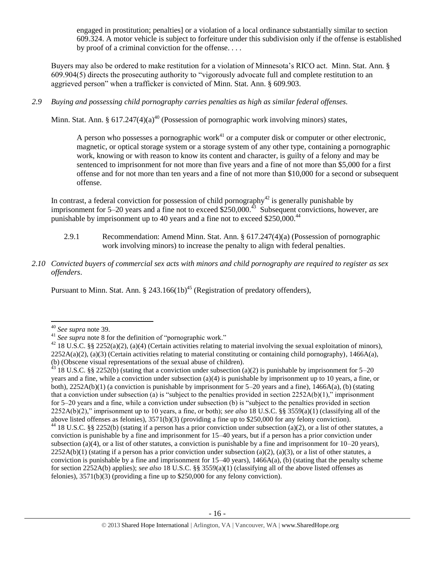engaged in prostitution; penalties] or a violation of a local ordinance substantially similar to section 609.324. A motor vehicle is subject to forfeiture under this subdivision only if the offense is established by proof of a criminal conviction for the offense. . . .

Buyers may also be ordered to make restitution for a violation of Minnesota's RICO act. Minn. Stat. Ann. § 609.904(5) directs the prosecuting authority to "vigorously advocate full and complete restitution to an aggrieved person" when a trafficker is convicted of Minn. Stat. Ann. § 609.903.

*2.9 Buying and possessing child pornography carries penalties as high as similar federal offenses.*

Minn. Stat. Ann. § 617.247(4)(a)<sup>40</sup> (Possession of pornographic work involving minors) states,

A person who possesses a pornographic work<sup>41</sup> or a computer disk or computer or other electronic, magnetic, or optical storage system or a storage system of any other type, containing a pornographic work, knowing or with reason to know its content and character, is guilty of a felony and may be sentenced to imprisonment for not more than five years and a fine of not more than \$5,000 for a first offense and for not more than ten years and a fine of not more than \$10,000 for a second or subsequent offense.

In contrast, a federal conviction for possession of child pornography<sup>42</sup> is generally punishable by imprisonment for 5–20 years and a fine not to exceed  $$250,000$ .<sup>43</sup> Subsequent convictions, however, are punishable by imprisonment up to 40 years and a fine not to exceed \$250,000.<sup>44</sup>

- <span id="page-15-0"></span>2.9.1 Recommendation: Amend Minn. Stat. Ann. § 617.247(4)(a) (Possession of pornographic work involving minors) to increase the penalty to align with federal penalties.
- *2.10 Convicted buyers of commercial sex acts with minors and child pornography are required to register as sex offenders*.

Pursuant to Minn. Stat. Ann. § 243.166(1b)<sup>45</sup> (Registration of predatory offenders),

 $\overline{\phantom{a}}$ <sup>40</sup> *See supra* note [39.](#page-14-0)

<sup>41</sup> *See supra* note [8](#page-3-2) for the definition of "pornographic work."

 $42$  18 U.S.C. §§ 2252(a)(2), (a)(4) (Certain activities relating to material involving the sexual exploitation of minors),  $2252A(a)(2)$ , (a)(3) (Certain activities relating to material constituting or containing child pornography), 1466A(a), (b) (Obscene visual representations of the sexual abuse of children).

<sup>&</sup>lt;sup>43</sup> 18 U.S.C. §§ 2252(b) (stating that a conviction under subsection (a)(2) is punishable by imprisonment for 5–20 years and a fine, while a conviction under subsection (a)(4) is punishable by imprisonment up to 10 years, a fine, or both), 2252A(b)(1) (a conviction is punishable by imprisonment for 5–20 years and a fine), 1466A(a), (b) (stating that a conviction under subsection (a) is "subject to the penalties provided in section  $2252A(b)(1)$ ," imprisonment for 5–20 years and a fine, while a conviction under subsection (b) is "subject to the penalties provided in section 2252A(b)(2)," imprisonment up to 10 years, a fine, or both); *see also* 18 U.S.C. §§ 3559(a)(1) (classifying all of the above listed offenses as felonies), 3571(b)(3) (providing a fine up to \$250,000 for any felony conviction). <sup>44</sup> 18 U.S.C. §§ 2252(b) (stating if a person has a prior conviction under subsection (a)(2), or a list of other statutes, a conviction is punishable by a fine and imprisonment for 15–40 years, but if a person has a prior conviction under subsection (a)(4), or a list of other statutes, a conviction is punishable by a fine and imprisonment for  $10-20$  years),  $2252A(b)(1)$  (stating if a person has a prior conviction under subsection (a)(2), (a)(3), or a list of other statutes, a conviction is punishable by a fine and imprisonment for  $15-40$  years),  $1466A(a)$ , (b) (stating that the penalty scheme for section 2252A(b) applies); *see also* 18 U.S.C. §§ 3559(a)(1) (classifying all of the above listed offenses as felonies), 3571(b)(3) (providing a fine up to \$250,000 for any felony conviction).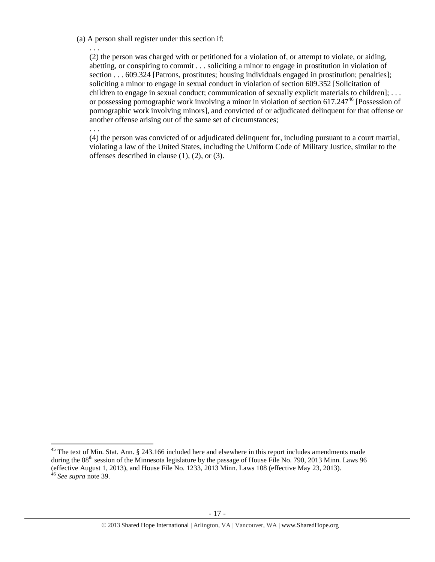(a) A person shall register under this section if:

. . . (2) the person was charged with or petitioned for a violation of, or attempt to violate, or aiding, abetting, or conspiring to commit . . . soliciting a minor to engage in prostitution in violation of section . . . 609.324 [Patrons, prostitutes; housing individuals engaged in prostitution; penalties]; soliciting a minor to engage in sexual conduct in violation of section 609.352 [Solicitation of children to engage in sexual conduct; communication of sexually explicit materials to children]; ... or possessing pornographic work involving a minor in violation of section 617.247<sup>46</sup> [Possession of pornographic work involving minors], and convicted of or adjudicated delinquent for that offense or another offense arising out of the same set of circumstances;

. . .

 $\overline{a}$ 

(4) the person was convicted of or adjudicated delinquent for, including pursuant to a court martial, violating a law of the United States, including the Uniform Code of Military Justice, similar to the offenses described in clause (1), (2), or (3).

<sup>&</sup>lt;sup>45</sup> The text of Min. Stat. Ann. § 243.166 included here and elsewhere in this report includes amendments made during the 88<sup>th</sup> session of the Minnesota legislature by the passage of House File No. 790, 2013 Minn. Laws 96 (effective August 1, 2013), and House File No. 1233, 2013 Minn. Laws 108 (effective May 23, 2013). <sup>46</sup> *See supra* note [39.](#page-14-0)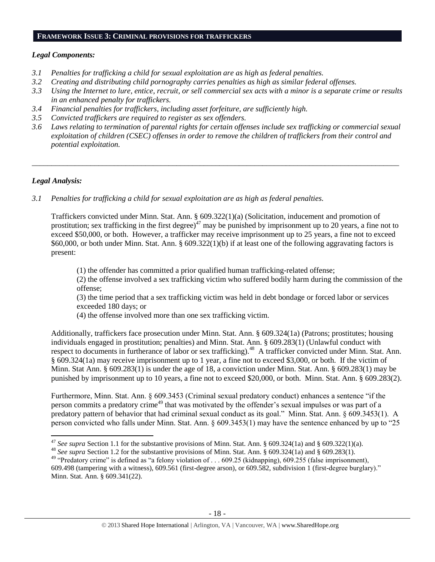#### **FRAMEWORK ISSUE 3: CRIMINAL PROVISIONS FOR TRAFFICKERS**

#### *Legal Components:*

- *3.1 Penalties for trafficking a child for sexual exploitation are as high as federal penalties.*
- *3.2 Creating and distributing child pornography carries penalties as high as similar federal offenses.*
- *3.3 Using the Internet to lure, entice, recruit, or sell commercial sex acts with a minor is a separate crime or results in an enhanced penalty for traffickers.*
- *3.4 Financial penalties for traffickers, including asset forfeiture, are sufficiently high.*
- *3.5 Convicted traffickers are required to register as sex offenders.*
- *3.6 Laws relating to termination of parental rights for certain offenses include sex trafficking or commercial sexual exploitation of children (CSEC) offenses in order to remove the children of traffickers from their control and potential exploitation.*

*\_\_\_\_\_\_\_\_\_\_\_\_\_\_\_\_\_\_\_\_\_\_\_\_\_\_\_\_\_\_\_\_\_\_\_\_\_\_\_\_\_\_\_\_\_\_\_\_\_\_\_\_\_\_\_\_\_\_\_\_\_\_\_\_\_\_\_\_\_\_\_\_\_\_\_\_\_\_\_\_\_\_\_\_\_\_\_\_\_\_\_\_\_\_*

# *Legal Analysis:*

*3.1 Penalties for trafficking a child for sexual exploitation are as high as federal penalties.* 

Traffickers convicted under Minn. Stat. Ann. § 609.322(1)(a) (Solicitation, inducement and promotion of prostitution; sex trafficking in the first degree)<sup>47</sup> may be punished by imprisonment up to 20 years, a fine not to exceed \$50,000, or both. However, a trafficker may receive imprisonment up to 25 years, a fine not to exceed \$60,000, or both under Minn. Stat. Ann. § 609.322(1)(b) if at least one of the following aggravating factors is present:

(1) the offender has committed a prior qualified human trafficking-related offense;

(2) the offense involved a sex trafficking victim who suffered bodily harm during the commission of the offense;

(3) the time period that a sex trafficking victim was held in debt bondage or forced labor or services exceeded 180 days; or

(4) the offense involved more than one sex trafficking victim.

Additionally, traffickers face prosecution under Minn. Stat. Ann. § 609.324(1a) (Patrons; prostitutes; housing individuals engaged in prostitution; penalties) and Minn. Stat. Ann. § 609.283(1) (Unlawful conduct with respect to documents in furtherance of labor or sex trafficking).<sup>48</sup> A trafficker convicted under Minn. Stat. Ann. § 609.324(1a) may receive imprisonment up to 1 year, a fine not to exceed \$3,000, or both. If the victim of Minn. Stat Ann. § 609.283(1) is under the age of 18, a conviction under Minn. Stat. Ann. § 609.283(1) may be punished by imprisonment up to 10 years, a fine not to exceed \$20,000, or both. Minn. Stat. Ann. § 609.283(2).

Furthermore, Minn. Stat. Ann. § 609.3453 (Criminal sexual predatory conduct) enhances a sentence "if the person commits a predatory crime<sup>49</sup> that was motivated by the offender's sexual impulses or was part of a predatory pattern of behavior that had criminal sexual conduct as its goal." Minn. Stat. Ann. § 609.3453(1). A person convicted who falls under Minn. Stat. Ann. § 609.3453(1) may have the sentence enhanced by up to "25

 $\overline{\phantom{a}}$ <sup>47</sup> *See supra* Section 1.1 for the substantive provisions of Minn. Stat. Ann. § 609.324(1a) and § 609.322(1)(a).

<sup>48</sup> *See supra* Section 1.2 for the substantive provisions of Minn. Stat. Ann. § 609.324(1a) and § 609.283(1).

<sup>&</sup>lt;sup>49</sup> "Predatory crime" is defined as "a felony violation of . . . 609.25 (kidnapping), 609.255 (false imprisonment), 609.498 (tampering with a witness), 609.561 (first-degree arson), or 609.582, subdivision 1 (first-degree burglary)." Minn. Stat. Ann. § 609.341(22).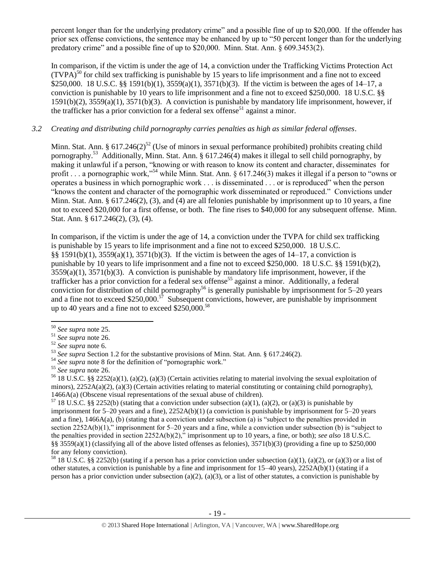percent longer than for the underlying predatory crime" and a possible fine of up to \$20,000. If the offender has prior sex offense convictions, the sentence may be enhanced by up to "50 percent longer than for the underlying predatory crime" and a possible fine of up to \$20,000. Minn. Stat. Ann. § 609.3453(2).

In comparison, if the victim is under the age of 14, a conviction under the Trafficking Victims Protection Act  $(TVPA)^{50}$  for child sex trafficking is punishable by 15 years to life imprisonment and a fine not to exceed \$250,000. 18 U.S.C. §§ 1591(b)(1), 3559(a)(1), 3571(b)(3). If the victim is between the ages of 14–17, a conviction is punishable by 10 years to life imprisonment and a fine not to exceed \$250,000. 18 U.S.C. §§ 1591(b)(2), 3559(a)(1), 3571(b)(3). A conviction is punishable by mandatory life imprisonment, however, if the trafficker has a prior conviction for a federal sex offense<sup>51</sup> against a minor.

# *3.2 Creating and distributing child pornography carries penalties as high as similar federal offenses*.

Minn. Stat. Ann. §  $617.246(2)^{52}$  (Use of minors in sexual performance prohibited) prohibits creating child pornography.<sup>53</sup> Additionally, Minn. Stat. Ann. § 617.246(4) makes it illegal to sell child pornography, by making it unlawful if a person, "knowing or with reason to know its content and character, disseminates for profit . . . a pornographic work,"<sup>54</sup> while Minn. Stat. Ann. § 617.246(3) makes it illegal if a person to "owns or operates a business in which pornographic work . . . is disseminated . . . or is reproduced" when the person "knows the content and character of the pornographic work disseminated or reproduced." Convictions under Minn. Stat. Ann. § 617.246(2), (3), and (4) are all felonies punishable by imprisonment up to 10 years, a fine not to exceed \$20,000 for a first offense, or both. The fine rises to \$40,000 for any subsequent offense. Minn. Stat. Ann. § 617.246(2), (3), (4).

In comparison, if the victim is under the age of 14, a conviction under the TVPA for child sex trafficking is punishable by 15 years to life imprisonment and a fine not to exceed \$250,000. 18 U.S.C. §§ 1591(b)(1), 3559(a)(1), 3571(b)(3). If the victim is between the ages of 14–17, a conviction is punishable by 10 years to life imprisonment and a fine not to exceed \$250,000. 18 U.S.C. §§ 1591(b)(2), 3559(a)(1), 3571(b)(3). A conviction is punishable by mandatory life imprisonment, however, if the trafficker has a prior conviction for a federal sex offense<sup>55</sup> against a minor. Additionally, a federal conviction for distribution of child pornography<sup>56</sup> is generally punishable by imprisonment for 5–20 years and a fine not to exceed \$250,000.<sup>57</sup> Subsequent convictions, however, are punishable by imprisonment up to 40 years and a fine not to exceed  $$250,000.<sup>58</sup>$ 

<sup>58</sup> 18 U.S.C. §§ 2252(b) (stating if a person has a prior conviction under subsection (a)(1), (a)(2), or (a)(3) or a list of other statutes, a conviction is punishable by a fine and imprisonment for 15–40 years), 2252A(b)(1) (stating if a person has a prior conviction under subsection (a)(2), (a)(3), or a list of other statutes, a conviction is punishable by

 $\overline{\phantom{a}}$ <sup>50</sup> *See supra* note [25.](#page-11-0)

<sup>51</sup> *See supra* note [26.](#page-11-1) 

<sup>52</sup> *See supra* note [6.](#page-3-3)

<sup>&</sup>lt;sup>53</sup> See supra Section 1.2 for the substantive provisions of Minn. Stat. Ann. § 617.246(2).

<sup>&</sup>lt;sup>54</sup> See supra note [8](#page-3-2) for the definition of "pornographic work."

<sup>55</sup> *See supra* note [26.](#page-11-1)

<sup>56</sup> 18 U.S.C. §§ 2252(a)(1), (a)(2), (a)(3) (Certain activities relating to material involving the sexual exploitation of minors), 2252A(a)(2), (a)(3) (Certain activities relating to material constituting or containing child pornography), 1466A(a) (Obscene visual representations of the sexual abuse of children).

<sup>&</sup>lt;sup>57</sup> 18 U.S.C. §§ 2252(b) (stating that a conviction under subsection (a)(1), (a)(2), or (a)(3) is punishable by imprisonment for 5–20 years and a fine), 2252A(b)(1) (a conviction is punishable by imprisonment for 5–20 years and a fine), 1466A(a), (b) (stating that a conviction under subsection (a) is "subject to the penalties provided in section 2252A(b)(1)," imprisonment for 5–20 years and a fine, while a conviction under subsection (b) is "subject to the penalties provided in section 2252A(b)(2)," imprisonment up to 10 years, a fine, or both); *see also* 18 U.S.C. §§ 3559(a)(1) (classifying all of the above listed offenses as felonies),  $3571(b)(3)$  (providing a fine up to \$250,000 for any felony conviction).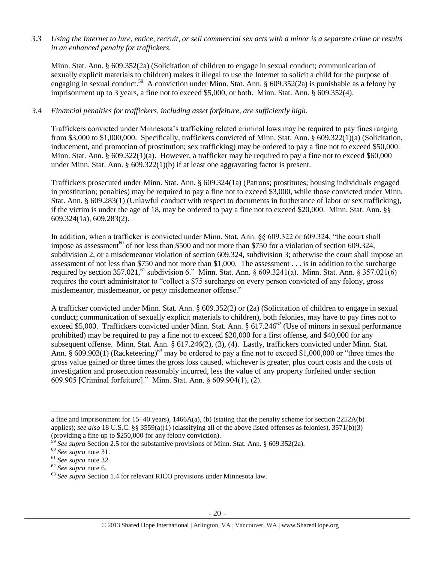## *3.3 Using the Internet to lure, entice, recruit, or sell commercial sex acts with a minor is a separate crime or results in an enhanced penalty for traffickers.*

Minn. Stat. Ann. § 609.352(2a) (Solicitation of children to engage in sexual conduct; communication of sexually explicit materials to children) makes it illegal to use the Internet to solicit a child for the purpose of engaging in sexual conduct.<sup>59</sup> A conviction under Minn. Stat. Ann. § 609.352(2a) is punishable as a felony by imprisonment up to 3 years, a fine not to exceed \$5,000, or both. Minn. Stat. Ann. § 609.352(4).

# *3.4 Financial penalties for traffickers, including asset forfeiture, are sufficiently high*.

Traffickers convicted under Minnesota's trafficking related criminal laws may be required to pay fines ranging from \$3,000 to \$1,000,000. Specifically, traffickers convicted of Minn. Stat. Ann. § 609.322(1)(a) (Solicitation, inducement, and promotion of prostitution; sex trafficking) may be ordered to pay a fine not to exceed \$50,000. Minn. Stat. Ann.  $\S 609.322(1)(a)$ . However, a trafficker may be required to pay a fine not to exceed \$60,000 under Minn. Stat. Ann. § 609.322(1)(b) if at least one aggravating factor is present.

Traffickers prosecuted under Minn. Stat. Ann. § 609.324(1a) (Patrons; prostitutes; housing individuals engaged in prostitution; penalties) may be required to pay a fine not to exceed \$3,000, while those convicted under Minn. Stat. Ann. § 609.283(1) (Unlawful conduct with respect to documents in furtherance of labor or sex trafficking), if the victim is under the age of 18, may be ordered to pay a fine not to exceed \$20,000. Minn. Stat. Ann. §§ 609.324(1a), 609.283(2).

In addition, when a trafficker is convicted under Minn. Stat. Ann. §§ 609.322 or 609.324, "the court shall impose as assessment<sup>60</sup> of not less than \$500 and not more than \$750 for a violation of section 609.324, subdivision 2, or a misdemeanor violation of section 609.324, subdivision 3; otherwise the court shall impose an assessment of not less than \$750 and not more than \$1,000. The assessment . . . is in addition to the surcharge required by section  $357.021$ ,<sup>61</sup> subdivision 6." Minn. Stat. Ann. § 609.3241(a). Minn. Stat. Ann. § 357.021(6) requires the court administrator to "collect a \$75 surcharge on every person convicted of any felony, gross misdemeanor, misdemeanor, or petty misdemeanor offense."

A trafficker convicted under Minn. Stat. Ann. § 609.352(2) or (2a) (Solicitation of children to engage in sexual conduct; communication of sexually explicit materials to children), both felonies, may have to pay fines not to exceed \$5,000. Traffickers convicted under Minn. Stat. Ann. § 617.246<sup>62</sup> (Use of minors in sexual performance prohibited) may be required to pay a fine not to exceed \$20,000 for a first offense, and \$40,000 for any subsequent offense. Minn. Stat. Ann. § 617.246(2), (3), (4). Lastly, traffickers convicted under Minn. Stat. Ann.  $\hat{\S}$  609.903(1) (Racketeering)<sup>63</sup> may be ordered to pay a fine not to exceed \$1,000,000 or "three times the gross value gained or three times the gross loss caused, whichever is greater, plus court costs and the costs of investigation and prosecution reasonably incurred, less the value of any property forfeited under section 609.905 [Criminal forfeiture]." Minn. Stat. Ann. § 609.904(1), (2).

a fine and imprisonment for  $15-40$  years),  $1466A(a)$ , (b) (stating that the penalty scheme for section  $2252A(b)$ applies); *see also* 18 U.S.C. §§ 3559(a)(1) (classifying all of the above listed offenses as felonies), 3571(b)(3) (providing a fine up to \$250,000 for any felony conviction).

<sup>59</sup> *See supra* Section 2.5 for the substantive provisions of Minn. Stat. Ann. § 609.352(2a).

<sup>60</sup> *See supra* note [31.](#page-13-0)

<sup>61</sup> *See supra* note [32.](#page-13-1)

<sup>62</sup> *See supra* note [6.](#page-3-3)

<sup>63</sup> *See supra* Section 1.4 for relevant RICO provisions under Minnesota law.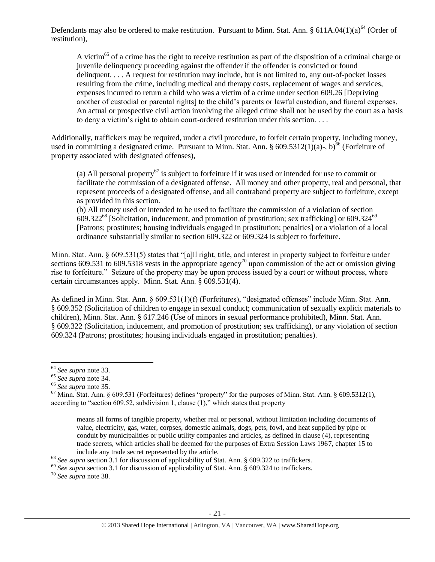Defendants may also be ordered to make restitution. Pursuant to Minn. Stat. Ann. § 611A.04(1)(a)<sup>64</sup> (Order of restitution),

A victim<sup>65</sup> of a crime has the right to receive restitution as part of the disposition of a criminal charge or juvenile delinquency proceeding against the offender if the offender is convicted or found delinquent. . . . A request for restitution may include, but is not limited to, any out-of-pocket losses resulting from the crime, including medical and therapy costs, replacement of wages and services, expenses incurred to return a child who was a victim of a crime under section 609.26 [Depriving another of custodial or parental rights] to the child's parents or lawful custodian, and funeral expenses. An actual or prospective civil action involving the alleged crime shall not be used by the court as a basis to deny a victim's right to obtain court-ordered restitution under this section. . . .

Additionally, traffickers may be required, under a civil procedure, to forfeit certain property, including money, used in committing a designated crime. Pursuant to Minn. Stat. Ann. §  $609.5312(1)(a)$ -, b)<sup>66</sup> (Forfeiture of property associated with designated offenses),

(a) All personal property<sup>67</sup> is subject to forfeiture if it was used or intended for use to commit or facilitate the commission of a designated offense. All money and other property, real and personal, that represent proceeds of a designated offense, and all contraband property are subject to forfeiture, except as provided in this section.

(b) All money used or intended to be used to facilitate the commission of a violation of section  $609.322^{68}$  [Solicitation, inducement, and promotion of prostitution; sex trafficking] or  $609.324^{69}$ [Patrons; prostitutes; housing individuals engaged in prostitution; penalties] or a violation of a local ordinance substantially similar to section 609.322 or 609.324 is subject to forfeiture.

Minn. Stat. Ann. § 609.531(5) states that "[a]ll right, title, and interest in property subject to forfeiture under sections 609.531 to 609.5318 vests in the appropriate agency<sup>70</sup> upon commission of the act or omission giving rise to forfeiture." Seizure of the property may be upon process issued by a court or without process, where certain circumstances apply. Minn. Stat. Ann. § 609.531(4).

As defined in Minn. Stat. Ann. § 609.531(1)(f) (Forfeitures), "designated offenses" include Minn. Stat. Ann. § 609.352 (Solicitation of children to engage in sexual conduct; communication of sexually explicit materials to children), Minn. Stat. Ann. § 617.246 (Use of minors in sexual performance prohibited), Minn. Stat. Ann. § 609.322 (Solicitation, inducement, and promotion of prostitution; sex trafficking), or any violation of section 609.324 (Patrons; prostitutes; housing individuals engaged in prostitution; penalties).

 $\overline{a}$ 

<sup>70</sup> *See supra* note [38.](#page-14-2)

<sup>64</sup> *See supra* note [33.](#page-13-2)

<sup>65</sup> *See supra* note [34.](#page-13-3)

<sup>66</sup> *See supra* note [35.](#page-14-1)

 $^{67}$  Minn. Stat. Ann. § 609.531 (Forfeitures) defines "property" for the purposes of Minn. Stat. Ann. § 609.5312(1), according to "section 609.52, subdivision 1, clause (1)," which states that property

means all forms of tangible property, whether real or personal, without limitation including documents of value, electricity, gas, water, corpses, domestic animals, dogs, pets, fowl, and heat supplied by pipe or conduit by municipalities or public utility companies and articles, as defined in clause (4), representing trade secrets, which articles shall be deemed for the purposes of Extra Session Laws 1967, chapter 15 to include any trade secret represented by the article.

<sup>68</sup> *See supra* section 3.1 for discussion of applicability of Stat. Ann. § 609.322 to traffickers.

<sup>&</sup>lt;sup>69</sup> See supra section 3.1 for discussion of applicability of Stat. Ann. § 609.324 to traffickers.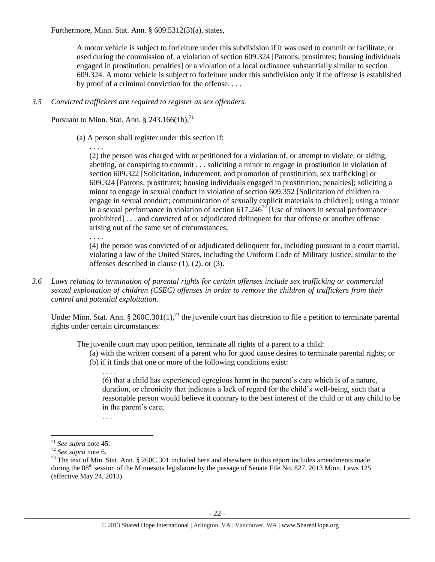Furthermore, Minn. Stat. Ann. § 609.5312(3)(a), states,

A motor vehicle is subject to forfeiture under this subdivision if it was used to commit or facilitate, or used during the commission of, a violation of section 609.324 [Patrons; prostitutes; housing individuals engaged in prostitution; penalties] or a violation of a local ordinance substantially similar to section 609.324. A motor vehicle is subject to forfeiture under this subdivision only if the offense is established by proof of a criminal conviction for the offense. . . .

*3.5 Convicted traffickers are required to register as sex offenders.*

Pursuant to Minn. Stat. Ann.  $§$  243.166(1b).<sup>71</sup>

(a) A person shall register under this section if:

. . . . (2) the person was charged with or petitioned for a violation of, or attempt to violate, or aiding, abetting, or conspiring to commit . . . soliciting a minor to engage in prostitution in violation of section 609.322 [Solicitation, inducement, and promotion of prostitution; sex trafficking] or 609.324 [Patrons; prostitutes; housing individuals engaged in prostitution; penalties]; soliciting a minor to engage in sexual conduct in violation of section 609.352 [Solicitation of children to engage in sexual conduct; communication of sexually explicit materials to children]; using a minor in a sexual performance in violation of section  $617.246^{72}$  [Use of minors in sexual performance prohibited] . . . and convicted of or adjudicated delinquent for that offense or another offense arising out of the same set of circumstances;

. . . .

(4) the person was convicted of or adjudicated delinquent for, including pursuant to a court martial, violating a law of the United States, including the Uniform Code of Military Justice, similar to the offenses described in clause (1), (2), or (3).

*3.6 Laws relating to termination of parental rights for certain offenses include sex trafficking or commercial sexual exploitation of children (CSEC) offenses in order to remove the children of traffickers from their control and potential exploitation.* 

Under Minn. Stat. Ann. § 260C.301(1),<sup>73</sup> the juvenile court has discretion to file a petition to terminate parental rights under certain circumstances:

The juvenile court may upon petition, terminate all rights of a parent to a child:

(a) with the written consent of a parent who for good cause desires to terminate parental rights; or (b) if it finds that one or more of the following conditions exist:

(6) that a child has experienced egregious harm in the parent's care which is of a nature, duration, or chronicity that indicates a lack of regard for the child's well-being, such that a reasonable person would believe it contrary to the best interest of the child or of any child to be in the parent's care;

. . . .

<sup>. . .</sup>

 $\overline{\phantom{a}}$ <sup>71</sup> *See supra* note [45.](#page-15-0)

<sup>72</sup> *See supra* note [6.](#page-3-3)

<sup>&</sup>lt;sup>73</sup> The text of Min. Stat. Ann. § 260C.301 included here and elsewhere in this report includes amendments made during the 88<sup>th</sup> session of the Minnesota legislature by the passage of Senate File No. 827, 2013 Minn. Laws 125 (effective May 24, 2013).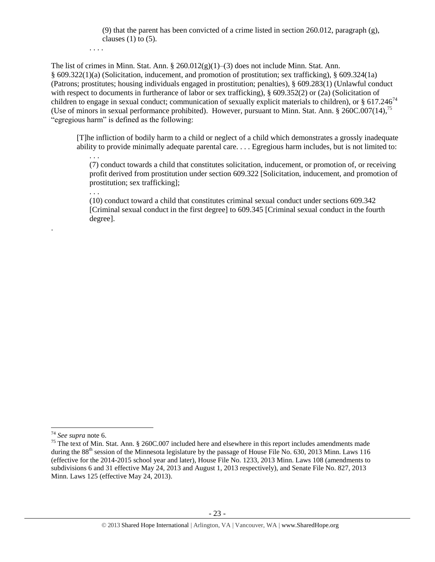<span id="page-22-0"></span>(9) that the parent has been convicted of a crime listed in section 260.012, paragraph  $(g)$ , clauses  $(1)$  to  $(5)$ .

. . . .

. . .

.

The list of crimes in Minn. Stat. Ann. § 260.012(g)(1)–(3) does not include Minn. Stat. Ann. § 609.322(1)(a) (Solicitation, inducement, and promotion of prostitution; sex trafficking), § 609.324(1a) (Patrons; prostitutes; housing individuals engaged in prostitution; penalties), § 609.283(1) (Unlawful conduct with respect to documents in furtherance of labor or sex trafficking), § 609.352(2) or (2a) (Solicitation of children to engage in sexual conduct; communication of sexually explicit materials to children), or § 617.246<sup>74</sup> (Use of minors in sexual performance prohibited). However, pursuant to Minn. Stat. Ann. § 260C.007(14),<sup>75</sup> "egregious harm" is defined as the following:

[T]he infliction of bodily harm to a child or neglect of a child which demonstrates a grossly inadequate ability to provide minimally adequate parental care. . . . Egregious harm includes, but is not limited to:

. . . (7) conduct towards a child that constitutes solicitation, inducement, or promotion of, or receiving profit derived from prostitution under section 609.322 [Solicitation, inducement, and promotion of prostitution; sex trafficking];

(10) conduct toward a child that constitutes criminal sexual conduct under sections 609.342 [Criminal sexual conduct in the first degree] to 609.345 [Criminal sexual conduct in the fourth degree].

 $\overline{\phantom{a}}$ <sup>74</sup> *See supra* note [6.](#page-3-3)

<sup>&</sup>lt;sup>75</sup> The text of Min. Stat. Ann. § 260C.007 included here and elsewhere in this report includes amendments made during the 88<sup>th</sup> session of the Minnesota legislature by the passage of House File No. 630, 2013 Minn. Laws 116 (effective for the 2014-2015 school year and later), House File No. 1233, 2013 Minn. Laws 108 (amendments to subdivisions 6 and 31 effective May 24, 2013 and August 1, 2013 respectively), and Senate File No. 827, 2013 Minn. Laws 125 (effective May 24, 2013).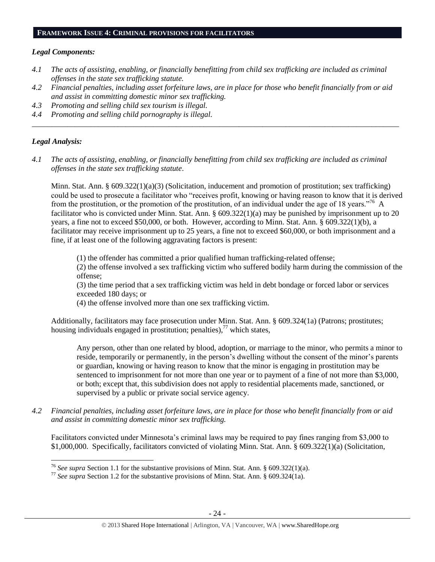#### **FRAMEWORK ISSUE 4: CRIMINAL PROVISIONS FOR FACILITATORS**

#### *Legal Components:*

- *4.1 The acts of assisting, enabling, or financially benefitting from child sex trafficking are included as criminal offenses in the state sex trafficking statute.*
- *4.2 Financial penalties, including asset forfeiture laws, are in place for those who benefit financially from or aid and assist in committing domestic minor sex trafficking.*

*\_\_\_\_\_\_\_\_\_\_\_\_\_\_\_\_\_\_\_\_\_\_\_\_\_\_\_\_\_\_\_\_\_\_\_\_\_\_\_\_\_\_\_\_\_\_\_\_\_\_\_\_\_\_\_\_\_\_\_\_\_\_\_\_\_\_\_\_\_\_\_\_\_\_\_\_\_\_\_\_\_\_\_\_\_\_\_\_\_\_\_\_\_\_*

- *4.3 Promoting and selling child sex tourism is illegal.*
- *4.4 Promoting and selling child pornography is illegal.*

#### *Legal Analysis:*

l

*4.1 The acts of assisting, enabling, or financially benefitting from child sex trafficking are included as criminal offenses in the state sex trafficking statute*.

Minn. Stat. Ann. §  $609.322(1)(a)(3)$  (Solicitation, inducement and promotion of prostitution; sex trafficking) could be used to prosecute a facilitator who "receives profit, knowing or having reason to know that it is derived from the prostitution, or the promotion of the prostitution, of an individual under the age of 18 years."<sup>76</sup> A facilitator who is convicted under Minn. Stat. Ann. § 609.322(1)(a) may be punished by imprisonment up to 20 years, a fine not to exceed \$50,000, or both. However, according to Minn. Stat. Ann. § 609.322(1)(b), a facilitator may receive imprisonment up to 25 years, a fine not to exceed \$60,000, or both imprisonment and a fine, if at least one of the following aggravating factors is present:

(1) the offender has committed a prior qualified human trafficking-related offense;

(2) the offense involved a sex trafficking victim who suffered bodily harm during the commission of the offense;

(3) the time period that a sex trafficking victim was held in debt bondage or forced labor or services exceeded 180 days; or

(4) the offense involved more than one sex trafficking victim.

Additionally, facilitators may face prosecution under Minn. Stat. Ann. § 609.324(1a) (Patrons; prostitutes; housing individuals engaged in prostitution; penalties), $^{77}$  which states,

Any person, other than one related by blood, adoption, or marriage to the minor, who permits a minor to reside, temporarily or permanently, in the person's dwelling without the consent of the minor's parents or guardian, knowing or having reason to know that the minor is engaging in prostitution may be sentenced to imprisonment for not more than one year or to payment of a fine of not more than \$3,000, or both; except that, this subdivision does not apply to residential placements made, sanctioned, or supervised by a public or private social service agency.

*4.2 Financial penalties, including asset forfeiture laws, are in place for those who benefit financially from or aid and assist in committing domestic minor sex trafficking.*

Facilitators convicted under Minnesota's criminal laws may be required to pay fines ranging from \$3,000 to \$1,000,000. Specifically, facilitators convicted of violating Minn. Stat. Ann. § 609.322(1)(a) (Solicitation,

<sup>76</sup> *See supra* Section 1.1 for the substantive provisions of Minn. Stat. Ann. § 609.322(1)(a).

<sup>77</sup> *See supra* Section 1.2 for the substantive provisions of Minn. Stat. Ann. § 609.324(1a).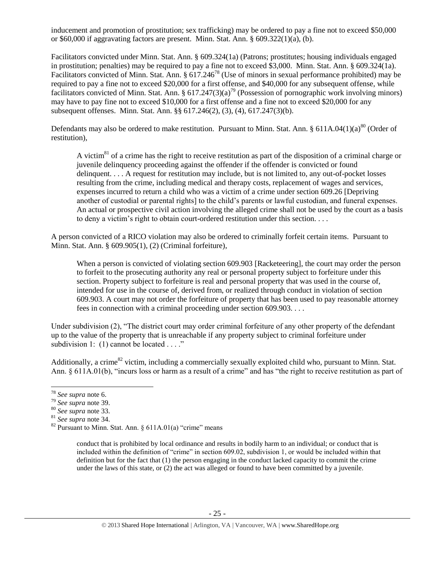inducement and promotion of prostitution; sex trafficking) may be ordered to pay a fine not to exceed \$50,000 or \$60,000 if aggravating factors are present. Minn. Stat. Ann. § 609.322(1)(a), (b).

Facilitators convicted under Minn. Stat. Ann. § 609.324(1a) (Patrons; prostitutes; housing individuals engaged in prostitution; penalties) may be required to pay a fine not to exceed \$3,000. Minn. Stat. Ann. § 609.324(1a). Facilitators convicted of Minn. Stat. Ann. § 617.246<sup>78</sup> (Use of minors in sexual performance prohibited) may be required to pay a fine not to exceed \$20,000 for a first offense, and \$40,000 for any subsequent offense, while facilitators convicted of Minn. Stat. Ann. § 617.247(3)(a)<sup>79</sup> (Possession of pornographic work involving minors) may have to pay fine not to exceed \$10,000 for a first offense and a fine not to exceed \$20,000 for any subsequent offenses. Minn. Stat. Ann. §§ 617.246(2), (3), (4), 617.247(3)(b).

Defendants may also be ordered to make restitution. Pursuant to Minn. Stat. Ann. § 611A.04(1)(a)<sup>80</sup> (Order of restitution),

A victim<sup>81</sup> of a crime has the right to receive restitution as part of the disposition of a criminal charge or juvenile delinquency proceeding against the offender if the offender is convicted or found delinquent. . . . A request for restitution may include, but is not limited to, any out-of-pocket losses resulting from the crime, including medical and therapy costs, replacement of wages and services, expenses incurred to return a child who was a victim of a crime under section 609.26 [Depriving another of custodial or parental rights] to the child's parents or lawful custodian, and funeral expenses. An actual or prospective civil action involving the alleged crime shall not be used by the court as a basis to deny a victim's right to obtain court-ordered restitution under this section. . . .

A person convicted of a RICO violation may also be ordered to criminally forfeit certain items. Pursuant to Minn. Stat. Ann. § 609.905(1), (2) (Criminal forfeiture),

When a person is convicted of violating section 609.903 [Racketeering], the court may order the person to forfeit to the prosecuting authority any real or personal property subject to forfeiture under this section. Property subject to forfeiture is real and personal property that was used in the course of, intended for use in the course of, derived from, or realized through conduct in violation of section 609.903. A court may not order the forfeiture of property that has been used to pay reasonable attorney fees in connection with a criminal proceeding under section 609.903. . . .

Under subdivision (2), "The district court may order criminal forfeiture of any other property of the defendant up to the value of the property that is unreachable if any property subject to criminal forfeiture under subdivision 1: (1) cannot be located  $\dots$ ."

Additionally, a crime<sup>82</sup> victim, including a commercially sexually exploited child who, pursuant to Minn. Stat. Ann. § 611A.01(b), "incurs loss or harm as a result of a crime" and has "the right to receive restitution as part of

l

conduct that is prohibited by local ordinance and results in bodily harm to an individual; or conduct that is included within the definition of "crime" in section 609.02, subdivision 1, or would be included within that definition but for the fact that (1) the person engaging in the conduct lacked capacity to commit the crime under the laws of this state, or (2) the act was alleged or found to have been committed by a juvenile.

<sup>78</sup> *See supra* note [6.](#page-3-3)

<sup>79</sup> *See supra* note [39.](#page-14-0)

<sup>80</sup> *See supra* note [33.](#page-13-2)

<sup>81</sup> *See supra* note [34.](#page-13-3)

 $82$  Pursuant to Minn. Stat. Ann.  $8611A.01(a)$  "crime" means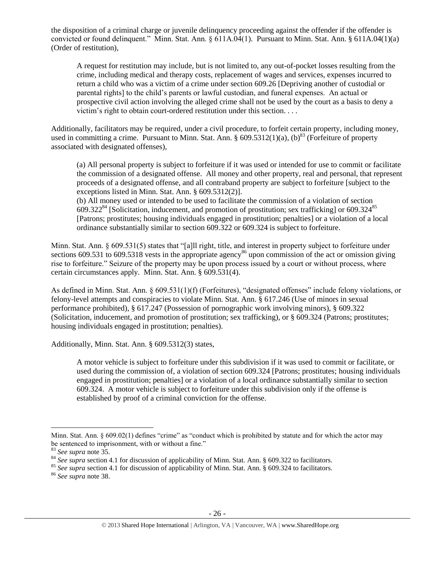the disposition of a criminal charge or juvenile delinquency proceeding against the offender if the offender is convicted or found delinquent." Minn. Stat. Ann. § 611A.04(1). Pursuant to Minn. Stat. Ann. § 611A.04(1)(a) (Order of restitution),

A request for restitution may include, but is not limited to, any out-of-pocket losses resulting from the crime, including medical and therapy costs, replacement of wages and services, expenses incurred to return a child who was a victim of a crime under section 609.26 [Depriving another of custodial or parental rights] to the child's parents or lawful custodian, and funeral expenses. An actual or prospective civil action involving the alleged crime shall not be used by the court as a basis to deny a victim's right to obtain court-ordered restitution under this section. . . .

Additionally, facilitators may be required, under a civil procedure, to forfeit certain property, including money, used in committing a crime. Pursuant to Minn. Stat. Ann.  $\S 609.5312(1)(a)$ ,  $(b)^{83}$  (Forfeiture of property associated with designated offenses),

(a) All personal property is subject to forfeiture if it was used or intended for use to commit or facilitate the commission of a designated offense. All money and other property, real and personal, that represent proceeds of a designated offense, and all contraband property are subject to forfeiture [subject to the exceptions listed in Minn. Stat. Ann. § 609.5312(2)].

(b) All money used or intended to be used to facilitate the commission of a violation of section  $609.322^{84}$  [Solicitation, inducement, and promotion of prostitution; sex trafficking] or  $609.324^{85}$ [Patrons; prostitutes; housing individuals engaged in prostitution; penalties] or a violation of a local ordinance substantially similar to section 609.322 or 609.324 is subject to forfeiture.

Minn. Stat. Ann. § 609.531(5) states that "[a]ll right, title, and interest in property subject to forfeiture under sections  $609.531$  to  $609.5318$  vests in the appropriate agency<sup>86</sup> upon commission of the act or omission giving rise to forfeiture." Seizure of the property may be upon process issued by a court or without process, where certain circumstances apply. Minn. Stat. Ann. § 609.531(4).

As defined in Minn. Stat. Ann. § 609.531(1)(f) (Forfeitures), "designated offenses" include felony violations, or felony-level attempts and conspiracies to violate Minn. Stat. Ann. § 617.246 (Use of minors in sexual performance prohibited), § 617.247 (Possession of pornographic work involving minors), § 609.322 (Solicitation, inducement, and promotion of prostitution; sex trafficking), or § 609.324 (Patrons; prostitutes; housing individuals engaged in prostitution; penalties).

Additionally, Minn. Stat. Ann. § 609.5312(3) states,

A motor vehicle is subject to forfeiture under this subdivision if it was used to commit or facilitate, or used during the commission of, a violation of section 609.324 [Patrons; prostitutes; housing individuals engaged in prostitution; penalties] or a violation of a local ordinance substantially similar to section 609.324. A motor vehicle is subject to forfeiture under this subdivision only if the offense is established by proof of a criminal conviction for the offense.

 $\overline{\phantom{a}}$ 

Minn. Stat. Ann. § 609.02(1) defines "crime" as "conduct which is prohibited by statute and for which the actor may be sentenced to imprisonment, with or without a fine."

<sup>83</sup> *See supra* note [35.](#page-14-1)

<sup>&</sup>lt;sup>84</sup> See supra section 4.1 for discussion of applicability of Minn. Stat. Ann. § 609.322 to facilitators.

<sup>&</sup>lt;sup>85</sup> See supra section 4.1 for discussion of applicability of Minn. Stat. Ann. § 609.324 to facilitators.

<sup>86</sup> *See supra* note [38.](#page-14-2)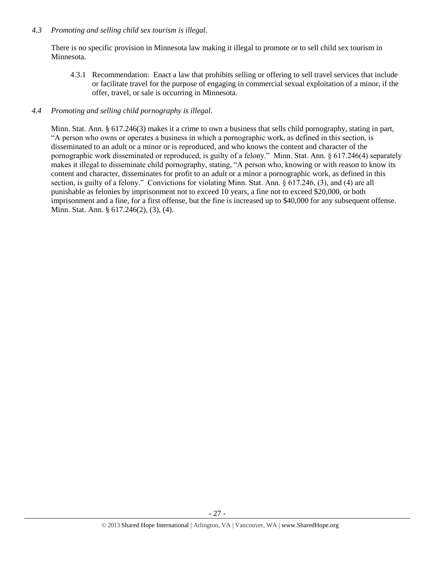## *4.3 Promoting and selling child sex tourism is illegal*.

There is no specific provision in Minnesota law making it illegal to promote or to sell child sex tourism in Minnesota.

4.3.1 Recommendation: Enact a law that prohibits selling or offering to sell travel services that include or facilitate travel for the purpose of engaging in commercial sexual exploitation of a minor, if the offer, travel, or sale is occurring in Minnesota.

## *4.4 Promoting and selling child pornography is illegal*.

Minn. Stat. Ann. § 617.246(3) makes it a crime to own a business that sells child pornography, stating in part, "A person who owns or operates a business in which a pornographic work, as defined in this section, is disseminated to an adult or a minor or is reproduced, and who knows the content and character of the pornographic work disseminated or reproduced, is guilty of a felony." Minn. Stat. Ann. § 617.246(4) separately makes it illegal to disseminate child pornography, stating, "A person who, knowing or with reason to know its content and character, disseminates for profit to an adult or a minor a pornographic work, as defined in this section, is guilty of a felony." Convictions for violating Minn. Stat. Ann. § 617.246, (3), and (4) are all punishable as felonies by imprisonment not to exceed 10 years, a fine not to exceed \$20,000, or both imprisonment and a fine, for a first offense, but the fine is increased up to \$40,000 for any subsequent offense. Minn. Stat. Ann. § 617.246(2), (3), (4).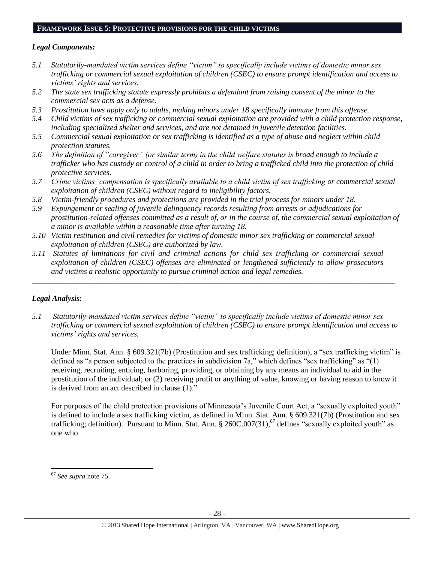#### **FRAMEWORK ISSUE 5: PROTECTIVE PROVISIONS FOR THE CHILD VICTIMS**

## *Legal Components:*

- *5.1 Statutorily-mandated victim services define "victim" to specifically include victims of domestic minor sex trafficking or commercial sexual exploitation of children (CSEC) to ensure prompt identification and access to victims' rights and services.*
- *5.2 The state sex trafficking statute expressly prohibits a defendant from raising consent of the minor to the commercial sex acts as a defense.*
- *5.3 Prostitution laws apply only to adults, making minors under 18 specifically immune from this offense.*
- *5.4 Child victims of sex trafficking or commercial sexual exploitation are provided with a child protection response, including specialized shelter and services, and are not detained in juvenile detention facilities.*
- *5.5 Commercial sexual exploitation or sex trafficking is identified as a type of abuse and neglect within child protection statutes.*
- *5.6 The definition of "caregiver" (or similar term) in the child welfare statutes is broad enough to include a trafficker who has custody or control of a child in order to bring a trafficked child into the protection of child protective services.*
- *5.7 Crime victims' compensation is specifically available to a child victim of sex trafficking or commercial sexual exploitation of children (CSEC) without regard to ineligibility factors.*
- *5.8 Victim-friendly procedures and protections are provided in the trial process for minors under 18.*
- *5.9 Expungement or sealing of juvenile delinquency records resulting from arrests or adjudications for prostitution-related offenses committed as a result of, or in the course of, the commercial sexual exploitation of a minor is available within a reasonable time after turning 18.*
- *5.10 Victim restitution and civil remedies for victims of domestic minor sex trafficking or commercial sexual exploitation of children (CSEC) are authorized by law.*
- *5.11 Statutes of limitations for civil and criminal actions for child sex trafficking or commercial sexual exploitation of children (CSEC) offenses are eliminated or lengthened sufficiently to allow prosecutors and victims a realistic opportunity to pursue criminal action and legal remedies.*

*\_\_\_\_\_\_\_\_\_\_\_\_\_\_\_\_\_\_\_\_\_\_\_\_\_\_\_\_\_\_\_\_\_\_\_\_\_\_\_\_\_\_\_\_\_\_\_\_\_\_\_\_\_\_\_\_\_\_\_\_\_\_\_\_\_\_\_\_\_\_\_\_\_\_\_\_\_\_\_\_\_\_\_\_\_\_\_\_\_\_\_\_\_*

# *Legal Analysis:*

*5.1 Statutorily-mandated victim services define "victim" to specifically include victims of domestic minor sex trafficking or commercial sexual exploitation of children (CSEC) to ensure prompt identification and access to victims' rights and services.* 

Under Minn. Stat. Ann. § 609.321(7b) (Prostitution and sex trafficking; definition), a "sex trafficking victim" is defined as "a person subjected to the practices in subdivision 7a," which defines "sex trafficking" as "(1) receiving, recruiting, enticing, harboring, providing, or obtaining by any means an individual to aid in the prostitution of the individual; or (2) receiving profit or anything of value, knowing or having reason to know it is derived from an act described in clause (1)."

For purposes of the child protection provisions of Minnesota's Juvenile Court Act, a "sexually exploited youth" is defined to include a sex trafficking victim, as defined in Minn. Stat. Ann. § 609.321(7b) (Prostitution and sex trafficking; definition). Pursuant to Minn. Stat. Ann. § 260C.007(31),<sup>87</sup> defines "sexually exploited youth" as one who

<sup>87</sup> *See supra* note [75.](#page-22-0)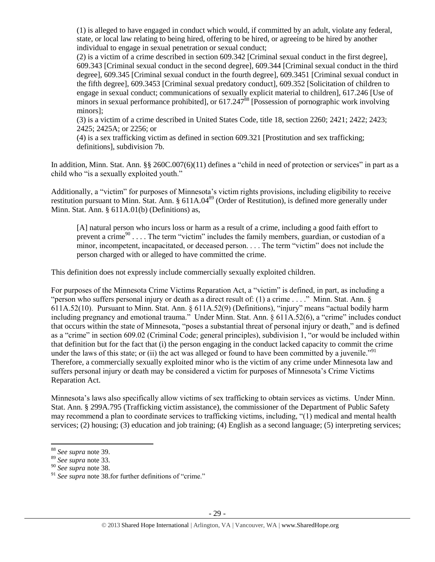(1) is alleged to have engaged in conduct which would, if committed by an adult, violate any federal, state, or local law relating to being hired, offering to be hired, or agreeing to be hired by another individual to engage in sexual penetration or sexual conduct;

(2) is a victim of a crime described in section 609.342 [Criminal sexual conduct in the first degree], 609.343 [Criminal sexual conduct in the second degree], 609.344 [Criminal sexual conduct in the third degree], 609.345 [Criminal sexual conduct in the fourth degree], 609.3451 [Criminal sexual conduct in the fifth degree], 609.3453 [Criminal sexual predatory conduct], 609.352 [Solicitation of children to engage in sexual conduct; communications of sexually explicit material to children], 617.246 [Use of minors in sexual performance prohibited], or  $617.247<sup>88</sup>$  [Possession of pornographic work involving minors];

(3) is a victim of a crime described in United States Code, title 18, section 2260; 2421; 2422; 2423; 2425; 2425A; or 2256; or

(4) is a sex trafficking victim as defined in section 609.321 [Prostitution and sex trafficking; definitions], subdivision 7b.

In addition, Minn. Stat. Ann. §§ 260C.007(6)(11) defines a "child in need of protection or services" in part as a child who "is a sexually exploited youth."

Additionally, a "victim" for purposes of Minnesota's victim rights provisions, including eligibility to receive restitution pursuant to Minn. Stat. Ann. § 611A.04<sup>89</sup> (Order of Restitution), is defined more generally under Minn. Stat. Ann. § 611A.01(b) (Definitions) as,

[A] natural person who incurs loss or harm as a result of a crime, including a good faith effort to prevent a crime<sup>90</sup> . . . . The term "victim" includes the family members, guardian, or custodian of a minor, incompetent, incapacitated, or deceased person. . . . The term "victim" does not include the person charged with or alleged to have committed the crime.

This definition does not expressly include commercially sexually exploited children.

For purposes of the Minnesota Crime Victims Reparation Act, a "victim" is defined, in part, as including a "person who suffers personal injury or death as a direct result of: (1) a crime . . . ." Minn. Stat. Ann. § 611A.52(10). Pursuant to Minn. Stat. Ann. § 611A.52(9) (Definitions), "injury" means "actual bodily harm including pregnancy and emotional trauma." Under Minn. Stat. Ann. § 611A.52(6), a "crime" includes conduct that occurs within the state of Minnesota, "poses a substantial threat of personal injury or death," and is defined as a "crime" in section 609.02 (Criminal Code; general principles), subdivision 1, "or would be included within that definition but for the fact that (i) the person engaging in the conduct lacked capacity to commit the crime under the laws of this state; or (ii) the act was alleged or found to have been committed by a juvenile."<sup>91</sup> Therefore, a commercially sexually exploited minor who is the victim of any crime under Minnesota law and suffers personal injury or death may be considered a victim for purposes of Minnesota's Crime Victims Reparation Act.

Minnesota's laws also specifically allow victims of sex trafficking to obtain services as victims. Under Minn. Stat. Ann. § 299A.795 (Trafficking victim assistance), the commissioner of the Department of Public Safety may recommend a plan to coordinate services to trafficking victims, including, "(1) medical and mental health services; (2) housing; (3) education and job training; (4) English as a second language; (5) interpreting services;

<sup>88</sup> *See supra* note [39.](#page-14-0)

<sup>89</sup> *See supra* note [33.](#page-13-2)

<sup>90</sup> *See supra* note [38.](#page-14-2) 

<sup>&</sup>lt;sup>91</sup> See supra note [38.](#page-14-2)for further definitions of "crime."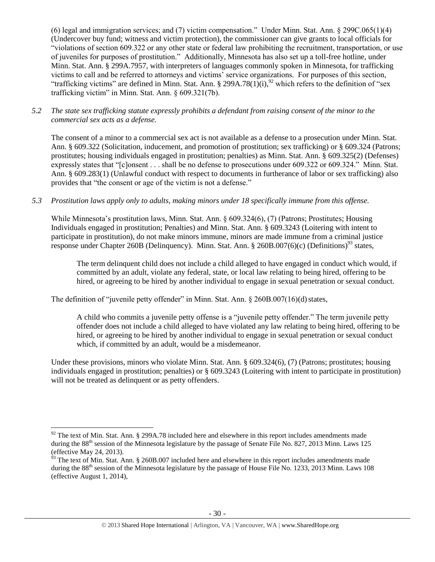(6) legal and immigration services; and (7) victim compensation." Under Minn. Stat. Ann. § 299C.065(1)(4) (Undercover buy fund; witness and victim protection), the commissioner can give grants to local officials for "violations of section 609.322 or any other state or federal law prohibiting the recruitment, transportation, or use of juveniles for purposes of prostitution." Additionally, Minnesota has also set up a toll-free hotline, under Minn. Stat. Ann. § 299A.7957, with interpreters of languages commonly spoken in Minnesota, for trafficking victims to call and be referred to attorneys and victims' service organizations. For purposes of this section, "trafficking victims" are defined in Minn. Stat. Ann. § 299A.78(1)(i),  $^{92}$  which refers to the definition of "sex trafficking victim" in Minn. Stat. Ann. § 609.321(7b).

*5.2 The state sex trafficking statute expressly prohibits a defendant from raising consent of the minor to the commercial sex acts as a defense.*

The consent of a minor to a commercial sex act is not available as a defense to a prosecution under Minn. Stat. Ann. § 609.322 (Solicitation, inducement, and promotion of prostitution; sex trafficking) or § 609.324 (Patrons; prostitutes; housing individuals engaged in prostitution; penalties) as Minn. Stat. Ann. § 609.325(2) (Defenses) expressly states that "[c]onsent . . . shall be no defense to prosecutions under 609.322 or 609.324." Minn. Stat. Ann. § 609.283(1) (Unlawful conduct with respect to documents in furtherance of labor or sex trafficking) also provides that "the consent or age of the victim is not a defense."

# *5.3 Prostitution laws apply only to adults, making minors under 18 specifically immune from this offense.*

While Minnesota's prostitution laws, Minn. Stat. Ann. § 609.324(6), (7) (Patrons; Prostitutes; Housing Individuals engaged in prostitution; Penalties) and Minn. Stat. Ann. § 609.3243 (Loitering with intent to participate in prostitution), do not make minors immune, minors are made immune from a criminal justice response under Chapter 260B (Delinquency). Minn. Stat. Ann. § 260B.007(6)(c) (Definitions)<sup>93</sup> states,

<span id="page-29-0"></span>The term delinquent child does not include a child alleged to have engaged in conduct which would, if committed by an adult, violate any federal, state, or local law relating to being hired, offering to be hired, or agreeing to be hired by another individual to engage in sexual penetration or sexual conduct.

The definition of "juvenile petty offender" in Minn. Stat. Ann.  $\S 260B.007(16)(d)$  states,

A child who commits a juvenile petty offense is a "juvenile petty offender." The term juvenile petty offender does not include a child alleged to have violated any law relating to being hired, offering to be hired, or agreeing to be hired by another individual to engage in sexual penetration or sexual conduct which, if committed by an adult, would be a misdemeanor.

Under these provisions, minors who violate Minn. Stat. Ann. § 609.324(6), (7) (Patrons; prostitutes; housing individuals engaged in prostitution; penalties) or § 609.3243 (Loitering with intent to participate in prostitution) will not be treated as delinquent or as petty offenders.

 $\overline{\phantom{a}}$ 

 $92$  The text of Min. Stat. Ann. § 299A.78 included here and elsewhere in this report includes amendments made during the 88<sup>th</sup> session of the Minnesota legislature by the passage of Senate File No. 827, 2013 Minn. Laws 125 (effective May 24, 2013).

 $^{93}$  The text of Min. Stat. Ann. § 260B.007 included here and elsewhere in this report includes amendments made during the 88<sup>th</sup> session of the Minnesota legislature by the passage of House File No. 1233, 2013 Minn. Laws 108 (effective August 1, 2014),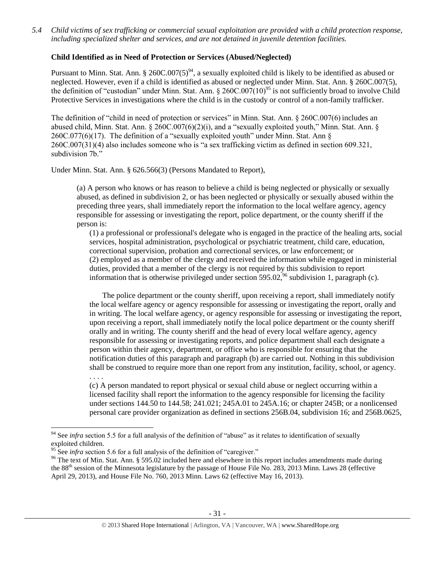*5.4 Child victims of sex trafficking or commercial sexual exploitation are provided with a child protection response, including specialized shelter and services, and are not detained in juvenile detention facilities.*

# **Child Identified as in Need of Protection or Services (Abused/Neglected)**

Pursuant to Minn. Stat. Ann. § 260C.007(5)<sup>94</sup>, a sexually exploited child is likely to be identified as abused or neglected. However, even if a child is identified as abused or neglected under Minn. Stat. Ann. § 260C.007(5), the definition of "custodian" under Minn. Stat. Ann.  $\S 260C.007(10)^{95}$  is not sufficiently broad to involve Child Protective Services in investigations where the child is in the custody or control of a non-family trafficker.

The definition of "child in need of protection or services" in Minn. Stat. Ann. § 260C.007(6) includes an abused child, Minn. Stat. Ann. § 260C.007(6)(2)(i), and a "sexually exploited youth," Minn. Stat. Ann. § 260C.077(6)(17). The definition of a "sexually exploited youth" under Minn. Stat. Ann § 260C.007(31)(4) also includes someone who is "a sex trafficking victim as defined in section 609.321, subdivision 7b<sup>"</sup>

Under Minn. Stat. Ann. § 626.566(3) (Persons Mandated to Report),

(a) A person who knows or has reason to believe a child is being neglected or physically or sexually abused, as defined in subdivision 2, or has been neglected or physically or sexually abused within the preceding three years, shall immediately report the information to the local welfare agency, agency responsible for assessing or investigating the report, police department, or the county sheriff if the person is:

(1) a professional or professional's delegate who is engaged in the practice of the healing arts, social services, hospital administration, psychological or psychiatric treatment, child care, education, correctional supervision, probation and correctional services, or law enforcement; or (2) employed as a member of the clergy and received the information while engaged in ministerial duties, provided that a member of the clergy is not required by this subdivision to report information that is otherwise privileged under section 595.02,<sup>96</sup> subdivision 1, paragraph (c).

The police department or the county sheriff, upon receiving a report, shall immediately notify the local welfare agency or agency responsible for assessing or investigating the report, orally and in writing. The local welfare agency, or agency responsible for assessing or investigating the report, upon receiving a report, shall immediately notify the local police department or the county sheriff orally and in writing. The county sheriff and the head of every local welfare agency, agency responsible for assessing or investigating reports, and police department shall each designate a person within their agency, department, or office who is responsible for ensuring that the notification duties of this paragraph and paragraph (b) are carried out. Nothing in this subdivision shall be construed to require more than one report from any institution, facility, school, or agency. . . . .

(c) A person mandated to report physical or sexual child abuse or neglect occurring within a licensed facility shall report the information to the agency responsible for licensing the facility under sections 144.50 to 144.58; 241.021; 245A.01 to 245A.16; or chapter 245B; or a nonlicensed personal care provider organization as defined in sections 256B.04, subdivision 16; and 256B.0625,

 $\overline{\phantom{a}}$ 

<sup>&</sup>lt;sup>94</sup> See *infra* section 5.5 for a full analysis of the definition of "abuse" as it relates to identification of sexually exploited children.

<sup>&</sup>lt;sup>95</sup> See *infra* section 5.6 for a full analysis of the definition of "caregiver."

<sup>&</sup>lt;sup>96</sup> The text of Min. Stat. Ann. § 595.02 included here and elsewhere in this report includes amendments made during the 88<sup>th</sup> session of the Minnesota legislature by the passage of House File No. 283, 2013 Minn. Laws 28 (effective April 29, 2013), and House File No. 760, 2013 Minn. Laws 62 (effective May 16, 2013).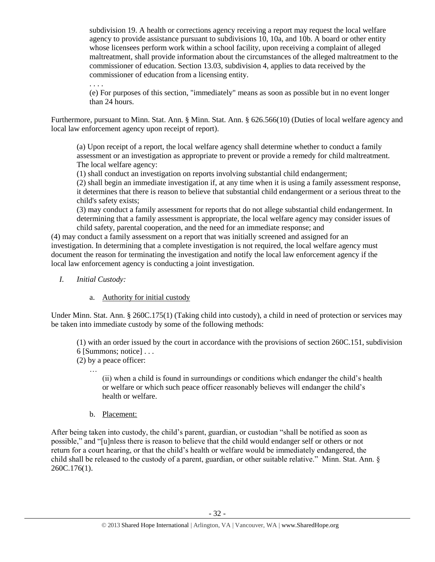subdivision 19. A health or corrections agency receiving a report may request the local welfare agency to provide assistance pursuant to subdivisions 10, 10a, and 10b. A board or other entity whose licensees perform work within a school facility, upon receiving a complaint of alleged maltreatment, shall provide information about the circumstances of the alleged maltreatment to the commissioner of education. Section 13.03, subdivision 4, applies to data received by the commissioner of education from a licensing entity.

. . . .

(e) For purposes of this section, "immediately" means as soon as possible but in no event longer than 24 hours.

Furthermore, pursuant to Minn. Stat. Ann. § Minn. Stat. Ann. § 626.566(10) (Duties of local welfare agency and local law enforcement agency upon receipt of report).

(a) Upon receipt of a report, the local welfare agency shall determine whether to conduct a family assessment or an investigation as appropriate to prevent or provide a remedy for child maltreatment. The local welfare agency:

(1) shall conduct an investigation on reports involving substantial child endangerment;

(2) shall begin an immediate investigation if, at any time when it is using a family assessment response, it determines that there is reason to believe that substantial child endangerment or a serious threat to the child's safety exists;

(3) may conduct a family assessment for reports that do not allege substantial child endangerment. In determining that a family assessment is appropriate, the local welfare agency may consider issues of child safety, parental cooperation, and the need for an immediate response; and

(4) may conduct a family assessment on a report that was initially screened and assigned for an investigation. In determining that a complete investigation is not required, the local welfare agency must document the reason for terminating the investigation and notify the local law enforcement agency if the local law enforcement agency is conducting a joint investigation.

- *I. Initial Custody:* 
	- a. Authority for initial custody

Under Minn. Stat. Ann. § 260C.175(1) (Taking child into custody), a child in need of protection or services may be taken into immediate custody by some of the following methods:

(1) with an order issued by the court in accordance with the provisions of section 260C.151, subdivision 6 [Summons; notice] . . .

(2) by a peace officer:

(ii) when a child is found in surroundings or conditions which endanger the child's health or welfare or which such peace officer reasonably believes will endanger the child's health or welfare.

b. Placement:

After being taken into custody, the child's parent, guardian, or custodian "shall be notified as soon as possible," and "[u]nless there is reason to believe that the child would endanger self or others or not return for a court hearing, or that the child's health or welfare would be immediately endangered, the child shall be released to the custody of a parent, guardian, or other suitable relative." Minn. Stat. Ann. § 260C.176(1).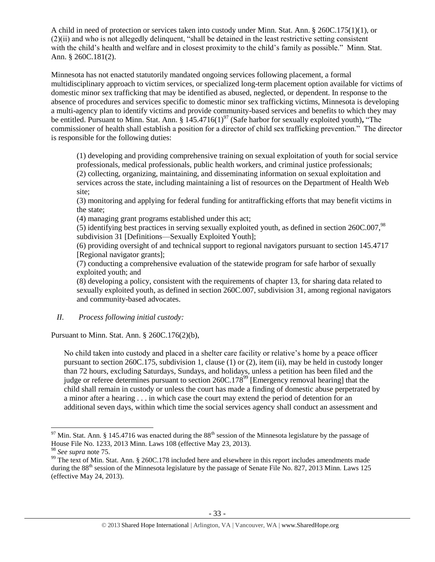A child in need of protection or services taken into custody under Minn. Stat. Ann. § 260C.175(1)(1), or (2)(ii) and who is not allegedly delinquent, "shall be detained in the least restrictive setting consistent with the child's health and welfare and in closest proximity to the child's family as possible." Minn. Stat. Ann. § 260C.181(2).

Minnesota has not enacted statutorily mandated ongoing services following placement, a formal multidisciplinary approach to victim services, or specialized long-term placement option available for victims of domestic minor sex trafficking that may be identified as abused, neglected, or dependent. In response to the absence of procedures and services specific to domestic minor sex trafficking victims, Minnesota is developing a multi-agency plan to identify victims and provide community-based services and benefits to which they may be entitled. Pursuant to Minn. Stat. Ann. § 145.4716(1)<sup>97</sup> (Safe harbor for sexually exploited youth), "The commissioner of health shall establish a position for a director of child sex trafficking prevention." The director is responsible for the following duties:

(1) developing and providing comprehensive training on sexual exploitation of youth for social service professionals, medical professionals, public health workers, and criminal justice professionals; (2) collecting, organizing, maintaining, and disseminating information on sexual exploitation and services across the state, including maintaining a list of resources on the Department of Health Web site;

(3) monitoring and applying for federal funding for antitrafficking efforts that may benefit victims in the state;

(4) managing grant programs established under this act;

(5) identifying best practices in serving sexually exploited youth, as defined in section  $260C.007$ ,<sup>98</sup> subdivision 31 [Definitions—Sexually Exploited Youth];

(6) providing oversight of and technical support to regional navigators pursuant to section 145.4717 [Regional navigator grants]:

(7) conducting a comprehensive evaluation of the statewide program for safe harbor of sexually exploited youth; and

(8) developing a policy, consistent with the requirements of chapter 13, for sharing data related to sexually exploited youth, as defined in section 260C.007, subdivision 31, among regional navigators and community-based advocates.

*II. Process following initial custody:*

Pursuant to Minn. Stat. Ann. § 260C.176(2)(b),

No child taken into custody and placed in a shelter care facility or relative's home by a peace officer pursuant to section 260C.175, subdivision 1, clause (1) or (2), item (ii), may be held in custody longer than 72 hours, excluding Saturdays, Sundays, and holidays, unless a petition has been filed and the judge or referee determines pursuant to section 260C.178<sup>99</sup> [Emergency removal hearing] that the child shall remain in custody or unless the court has made a finding of domestic abuse perpetrated by a minor after a hearing . . . in which case the court may extend the period of detention for an additional seven days, within which time the social services agency shall conduct an assessment and

 $\overline{\phantom{a}}$ 

<sup>&</sup>lt;sup>97</sup> Min. Stat. Ann. § 145.4716 was enacted during the 88<sup>th</sup> session of the Minnesota legislature by the passage of House File No. 1233, 2013 Minn. Laws 108 (effective May 23, 2013).

<sup>98</sup> *See supra* note [75.](#page-22-0)

<sup>&</sup>lt;sup>99</sup> The text of Min. Stat. Ann. § 260C.178 included here and elsewhere in this report includes amendments made during the 88<sup>th</sup> session of the Minnesota legislature by the passage of Senate File No. 827, 2013 Minn. Laws 125 (effective May 24, 2013).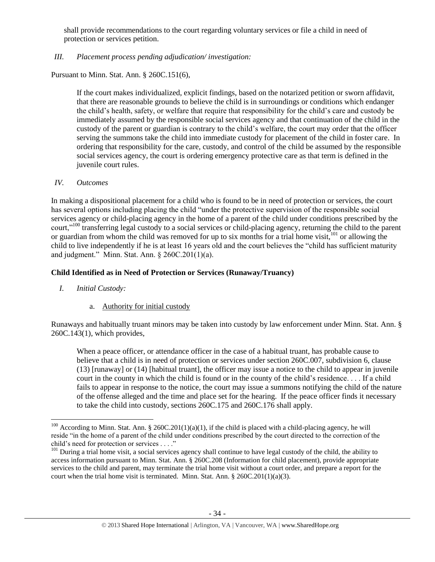shall provide recommendations to the court regarding voluntary services or file a child in need of protection or services petition.

# *III. Placement process pending adjudication/ investigation:*

Pursuant to Minn. Stat. Ann. § 260C.151(6),

If the court makes individualized, explicit findings, based on the notarized petition or sworn affidavit, that there are reasonable grounds to believe the child is in surroundings or conditions which endanger the child's health, safety, or welfare that require that responsibility for the child's care and custody be immediately assumed by the responsible social services agency and that continuation of the child in the custody of the parent or guardian is contrary to the child's welfare, the court may order that the officer serving the summons take the child into immediate custody for placement of the child in foster care. In ordering that responsibility for the care, custody, and control of the child be assumed by the responsible social services agency, the court is ordering emergency protective care as that term is defined in the iuvenile court rules.

# *IV. Outcomes*

In making a dispositional placement for a child who is found to be in need of protection or services, the court has several options including placing the child "under the protective supervision of the responsible social services agency or child-placing agency in the home of a parent of the child under conditions prescribed by the court,<sup>"100</sup> transferring legal custody to a social services or child-placing agency, returning the child to the parent or guardian from whom the child was removed for up to six months for a trial home visit,<sup>101</sup> or allowing the child to live independently if he is at least 16 years old and the court believes the "child has sufficient maturity and judgment." Minn. Stat. Ann. § 260C.201(1)(a).

# **Child Identified as in Need of Protection or Services (Runaway/Truancy)**

*I. Initial Custody:* 

 $\overline{\phantom{a}}$ 

# a. Authority for initial custody

Runaways and habitually truant minors may be taken into custody by law enforcement under Minn. Stat. Ann. § 260C.143(1), which provides,

When a peace officer, or attendance officer in the case of a habitual truant, has probable cause to believe that a child is in need of protection or services under section 260C.007, subdivision 6, clause (13) [runaway] or (14) [habitual truant], the officer may issue a notice to the child to appear in juvenile court in the county in which the child is found or in the county of the child's residence. . . . If a child fails to appear in response to the notice, the court may issue a summons notifying the child of the nature of the offense alleged and the time and place set for the hearing. If the peace officer finds it necessary to take the child into custody, sections 260C.175 and 260C.176 shall apply.

<sup>&</sup>lt;sup>100</sup> According to Minn. Stat. Ann. § 260C.201(1)(a)(1), if the child is placed with a child-placing agency, he will reside "in the home of a parent of the child under conditions prescribed by the court directed to the correction of the child's need for protection or services . . . ."

<sup>&</sup>lt;sup>101</sup> During a trial home visit, a social services agency shall continue to have legal custody of the child, the ability to access information pursuant to Minn. Stat. Ann. § 260C.208 (Information for child placement), provide appropriate services to the child and parent, may terminate the trial home visit without a court order, and prepare a report for the court when the trial home visit is terminated. Minn. Stat. Ann.  $\S 260C.201(1)(a)(3)$ .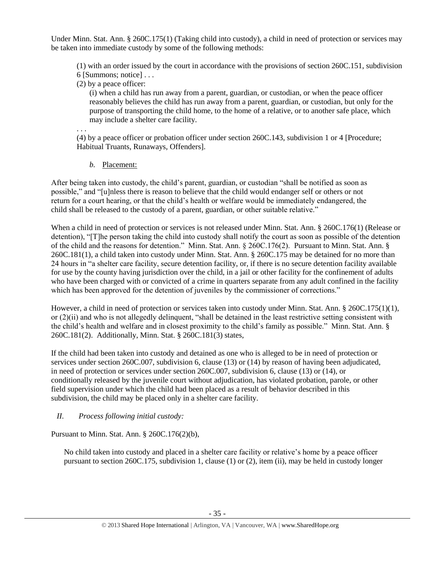Under Minn. Stat. Ann. § 260C.175(1) (Taking child into custody), a child in need of protection or services may be taken into immediate custody by some of the following methods:

(1) with an order issued by the court in accordance with the provisions of section 260C.151, subdivision 6 [Summons; notice] . . .

(2) by a peace officer:

(i) when a child has run away from a parent, guardian, or custodian, or when the peace officer reasonably believes the child has run away from a parent, guardian, or custodian, but only for the purpose of transporting the child home, to the home of a relative, or to another safe place, which may include a shelter care facility.

. . .

(4) by a peace officer or probation officer under section 260C.143, subdivision 1 or 4 [Procedure; Habitual Truants, Runaways, Offenders].

*b.* Placement:

After being taken into custody, the child's parent, guardian, or custodian "shall be notified as soon as possible," and "[u]nless there is reason to believe that the child would endanger self or others or not return for a court hearing, or that the child's health or welfare would be immediately endangered, the child shall be released to the custody of a parent, guardian, or other suitable relative."

When a child in need of protection or services is not released under Minn. Stat. Ann. § 260C.176(1) (Release or detention), "[T]he person taking the child into custody shall notify the court as soon as possible of the detention of the child and the reasons for detention." Minn. Stat. Ann. § 260C.176(2). Pursuant to Minn. Stat. Ann. § 260C.181(1), a child taken into custody under Minn. Stat. Ann. § 260C.175 may be detained for no more than 24 hours in "a shelter care facility, secure detention facility, or, if there is no secure detention facility available for use by the county having jurisdiction over the child, in a jail or other facility for the confinement of adults who have been charged with or convicted of a crime in quarters separate from any adult confined in the facility which has been approved for the detention of juveniles by the commissioner of corrections."

However, a child in need of protection or services taken into custody under Minn. Stat. Ann. § 260C.175(1)(1), or (2)(ii) and who is not allegedly delinquent, "shall be detained in the least restrictive setting consistent with the child's health and welfare and in closest proximity to the child's family as possible." Minn. Stat. Ann. § 260C.181(2). Additionally, Minn. Stat. § 260C.181(3) states,

If the child had been taken into custody and detained as one who is alleged to be in need of protection or services under section 260C.007, subdivision 6, clause (13) or (14) by reason of having been adjudicated, in need of protection or services under section 260C.007, subdivision 6, clause (13) or (14), or conditionally released by the juvenile court without adjudication, has violated probation, parole, or other field supervision under which the child had been placed as a result of behavior described in this subdivision, the child may be placed only in a shelter care facility.

# *II. Process following initial custody:*

Pursuant to Minn. Stat. Ann. § 260C.176(2)(b),

No child taken into custody and placed in a shelter care facility or relative's home by a peace officer pursuant to section 260C.175, subdivision 1, clause (1) or (2), item (ii), may be held in custody longer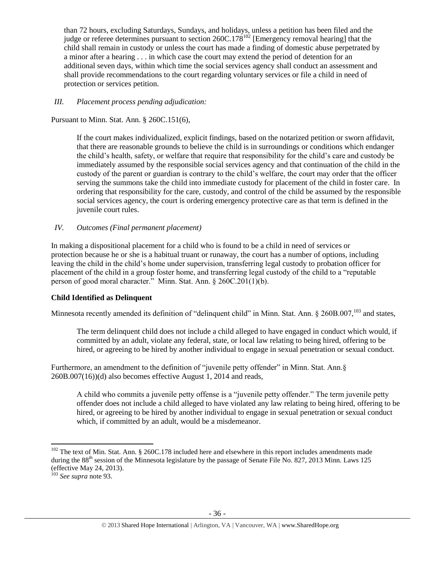than 72 hours, excluding Saturdays, Sundays, and holidays, unless a petition has been filed and the judge or referee determines pursuant to section 260C.178<sup>102</sup> [Emergency removal hearing] that the child shall remain in custody or unless the court has made a finding of domestic abuse perpetrated by a minor after a hearing . . . in which case the court may extend the period of detention for an additional seven days, within which time the social services agency shall conduct an assessment and shall provide recommendations to the court regarding voluntary services or file a child in need of protection or services petition.

# *III. Placement process pending adjudication:*

Pursuant to Minn. Stat. Ann. § 260C.151(6),

If the court makes individualized, explicit findings, based on the notarized petition or sworn affidavit, that there are reasonable grounds to believe the child is in surroundings or conditions which endanger the child's health, safety, or welfare that require that responsibility for the child's care and custody be immediately assumed by the responsible social services agency and that continuation of the child in the custody of the parent or guardian is contrary to the child's welfare, the court may order that the officer serving the summons take the child into immediate custody for placement of the child in foster care. In ordering that responsibility for the care, custody, and control of the child be assumed by the responsible social services agency, the court is ordering emergency protective care as that term is defined in the juvenile court rules.

## *IV. Outcomes (Final permanent placement)*

In making a dispositional placement for a child who is found to be a child in need of services or protection because he or she is a habitual truant or runaway, the court has a number of options, including leaving the child in the child's home under supervision, transferring legal custody to probation officer for placement of the child in a group foster home, and transferring legal custody of the child to a "reputable person of good moral character." Minn. Stat. Ann. § 260C.201(1)(b).

#### **Child Identified as Delinquent**

Minnesota recently amended its definition of "delinquent child" in Minn. Stat. Ann. § 260B.007,<sup>103</sup> and states,

The term delinquent child does not include a child alleged to have engaged in conduct which would, if committed by an adult, violate any federal, state, or local law relating to being hired, offering to be hired, or agreeing to be hired by another individual to engage in sexual penetration or sexual conduct.

Furthermore, an amendment to the definition of "juvenile petty offender" in Minn. Stat. Ann. § 260B.007(16))(d) also becomes effective August 1, 2014 and reads,

A child who commits a juvenile petty offense is a "juvenile petty offender." The term juvenile petty offender does not include a child alleged to have violated any law relating to being hired, offering to be hired, or agreeing to be hired by another individual to engage in sexual penetration or sexual conduct which, if committed by an adult, would be a misdemeanor.

 $102$  The text of Min. Stat. Ann. § 260C.178 included here and elsewhere in this report includes amendments made during the 88<sup>th</sup> session of the Minnesota legislature by the passage of Senate File No. 827, 2013 Minn. Laws 125 (effective May 24, 2013).

<sup>103</sup> *See supra* not[e 93.](#page-29-0)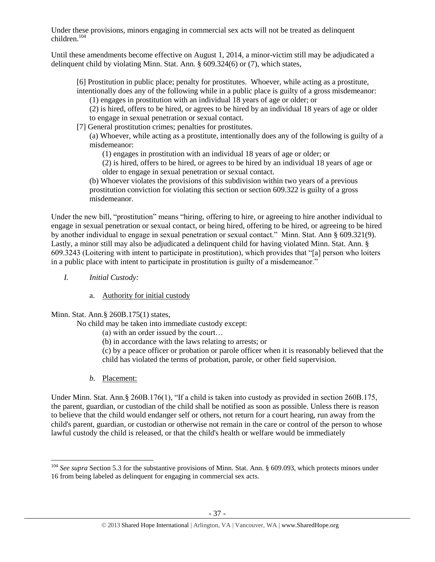Under these provisions, minors engaging in commercial sex acts will not be treated as delinquent children.<sup>104</sup>

Until these amendments become effective on August 1, 2014, a minor-victim still may be adjudicated a delinquent child by violating Minn. Stat. Ann. § 609.324(6) or (7), which states,

[6] Prostitution in public place; penalty for prostitutes. Whoever, while acting as a prostitute,

intentionally does any of the following while in a public place is guilty of a gross misdemeanor: (1) engages in prostitution with an individual 18 years of age or older; or

(2) is hired, offers to be hired, or agrees to be hired by an individual 18 years of age or older to engage in sexual penetration or sexual contact.

[7] General prostitution crimes; penalties for prostitutes.

(a) Whoever, while acting as a prostitute, intentionally does any of the following is guilty of a misdemeanor:

(1) engages in prostitution with an individual 18 years of age or older; or

(2) is hired, offers to be hired, or agrees to be hired by an individual 18 years of age or older to engage in sexual penetration or sexual contact.

(b) Whoever violates the provisions of this subdivision within two years of a previous prostitution conviction for violating this section or section 609.322 is guilty of a gross misdemeanor.

Under the new bill, "prostitution" means "hiring, offering to hire, or agreeing to hire another individual to engage in sexual penetration or sexual contact, or being hired, offering to be hired, or agreeing to be hired by another individual to engage in sexual penetration or sexual contact." Minn. Stat. Ann § 609.321(9). Lastly, a minor still may also be adjudicated a delinquent child for having violated Minn. Stat. Ann. § 609.3243 (Loitering with intent to participate in prostitution), which provides that "[a] person who loiters in a public place with intent to participate in prostitution is guilty of a misdemeanor."

- *I. Initial Custody:* 
	- a. Authority for initial custody

Minn. Stat. Ann.§ 260B.175(1) states,

No child may be taken into immediate custody except:

- (a) with an order issued by the court…
- (b) in accordance with the laws relating to arrests; or

(c) by a peace officer or probation or parole officer when it is reasonably believed that the child has violated the terms of probation, parole, or other field supervision.

*b.* Placement:

Under Minn. Stat. Ann.§ 260B.176(1), "If a child is taken into custody as provided in section 260B.175, the parent, guardian, or custodian of the child shall be notified as soon as possible. Unless there is reason to believe that the child would endanger self or others, not return for a court hearing, run away from the child's parent, guardian, or custodian or otherwise not remain in the care or control of the person to whose lawful custody the child is released, or that the child's health or welfare would be immediately

l <sup>104</sup> See supra Section 5.3 for the substantive provisions of Minn. Stat. Ann. § 609.093, which protects minors under 16 from being labeled as delinquent for engaging in commercial sex acts.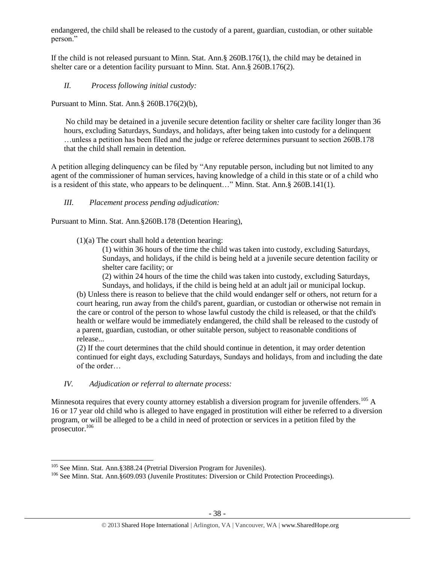endangered, the child shall be released to the custody of a parent, guardian, custodian, or other suitable person."

If the child is not released pursuant to Minn. Stat. Ann.§ 260B.176(1), the child may be detained in shelter care or a detention facility pursuant to Minn. Stat. Ann.§ 260B.176(2).

*II. Process following initial custody:*

Pursuant to Minn. Stat. Ann.§ 260B.176(2)(b),

No child may be detained in a juvenile secure detention facility or shelter care facility longer than 36 hours, excluding Saturdays, Sundays, and holidays, after being taken into custody for a delinquent …unless a petition has been filed and the judge or referee determines pursuant to section 260B.178 that the child shall remain in detention.

A petition alleging delinquency can be filed by "Any reputable person, including but not limited to any agent of the commissioner of human services, having knowledge of a child in this state or of a child who is a resident of this state, who appears to be delinquent…" Minn. Stat. Ann.§ 260B.141(1).

#### *III. Placement process pending adjudication:*

Pursuant to Minn. Stat. Ann.§260B.178 (Detention Hearing),

 $(1)(a)$  The court shall hold a detention hearing:

(1) within 36 hours of the time the child was taken into custody, excluding Saturdays, Sundays, and holidays, if the child is being held at a juvenile secure detention facility or shelter care facility; or

(2) within 24 hours of the time the child was taken into custody, excluding Saturdays,

Sundays, and holidays, if the child is being held at an adult jail or municipal lockup. (b) Unless there is reason to believe that the child would endanger self or others, not return for a court hearing, run away from the child's parent, guardian, or custodian or otherwise not remain in the care or control of the person to whose lawful custody the child is released, or that the child's health or welfare would be immediately endangered, the child shall be released to the custody of a parent, guardian, custodian, or other suitable person, subject to reasonable conditions of release...

(2) If the court determines that the child should continue in detention, it may order detention continued for eight days, excluding Saturdays, Sundays and holidays, from and including the date of the order…

#### *IV. Adjudication or referral to alternate process:*

Minnesota requires that every county attorney establish a diversion program for juvenile offenders.<sup>105</sup> A 16 or 17 year old child who is alleged to have engaged in prostitution will either be referred to a diversion program, or will be alleged to be a child in need of protection or services in a petition filed by the prosecutor.<sup>106</sup>

l <sup>105</sup> See Minn. Stat. Ann.§388.24 (Pretrial Diversion Program for Juveniles).

<sup>106</sup> See Minn. Stat. Ann.§609.093 (Juvenile Prostitutes: Diversion or Child Protection Proceedings).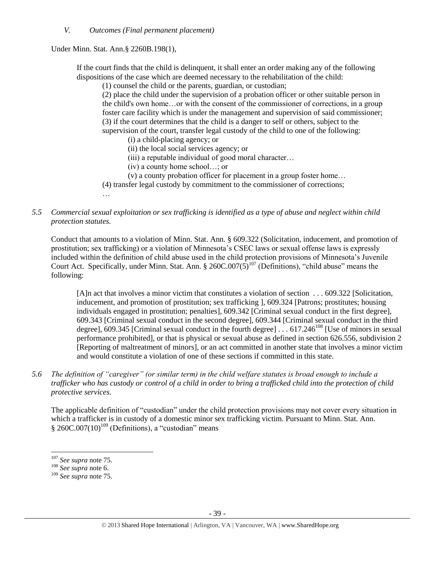## *V. Outcomes (Final permanent placement)*

## Under Minn. Stat. Ann.§ 2260B.198(1),

If the court finds that the child is delinquent, it shall enter an order making any of the following dispositions of the case which are deemed necessary to the rehabilitation of the child:

(1) counsel the child or the parents, guardian, or custodian;

(2) place the child under the supervision of a probation officer or other suitable person in the child's own home…or with the consent of the commissioner of corrections, in a group foster care facility which is under the management and supervision of said commissioner; (3) if the court determines that the child is a danger to self or others, subject to the supervision of the court, transfer legal custody of the child to one of the following:

(i) a child-placing agency; or

- (ii) the local social services agency; or
- (iii) a reputable individual of good moral character…
- (iv) a county home school…; or
- (v) a county probation officer for placement in a group foster home…
- (4) transfer legal custody by commitment to the commissioner of corrections;
- …

# *5.5 Commercial sexual exploitation or sex trafficking is identified as a type of abuse and neglect within child protection statutes.*

Conduct that amounts to a violation of Minn. Stat. Ann. § 609.322 (Solicitation, inducement, and promotion of prostitution; sex trafficking) or a violation of Minnesota's CSEC laws or sexual offense laws is expressly included within the definition of child abuse used in the child protection provisions of Minnesota's Juvenile Court Act. Specifically, under Minn. Stat. Ann. § 260C.007( $5^{107}$  (Definitions), "child abuse" means the following:

[A]n act that involves a minor victim that constitutes a violation of section . . . 609.322 [Solicitation, inducement, and promotion of prostitution; sex trafficking ], 609.324 [Patrons; prostitutes; housing individuals engaged in prostitution; penalties], 609.342 [Criminal sexual conduct in the first degree], 609.343 [Criminal sexual conduct in the second degree], 609.344 [Criminal sexual conduct in the third degree], 609.345 [Criminal sexual conduct in the fourth degree]  $\ldots$  617.246<sup>108</sup> [Use of minors in sexual performance prohibited], or that is physical or sexual abuse as defined in section 626.556, subdivision 2 [Reporting of maltreatment of minors], or an act committed in another state that involves a minor victim and would constitute a violation of one of these sections if committed in this state.

*5.6 The definition of "caregiver" (or similar term) in the child welfare statutes is broad enough to include a trafficker who has custody or control of a child in order to bring a trafficked child into the protection of child protective services.*

The applicable definition of "custodian" under the child protection provisions may not cover every situation in which a trafficker is in custody of a domestic minor sex trafficking victim. Pursuant to Minn. Stat. Ann.  $$ 260C.007(10)<sup>109</sup>$  (Definitions), a "custodian" means

 $\overline{\phantom{a}}$ 

<sup>107</sup> *See supra* not[e 75.](#page-22-0)

<sup>108</sup> *See supra* not[e 6.](#page-3-3)

<sup>109</sup> *See supra* not[e 75.](#page-22-0)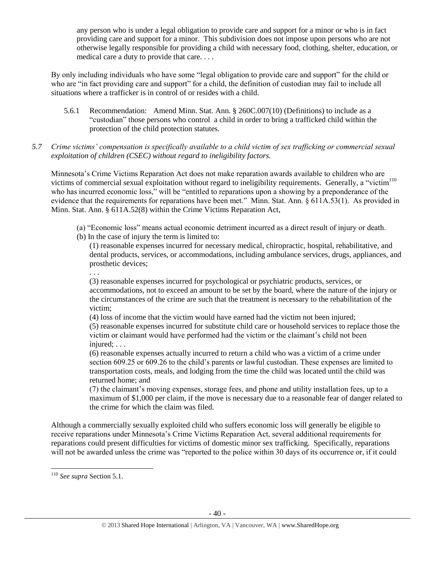any person who is under a legal obligation to provide care and support for a minor or who is in fact providing care and support for a minor. This subdivision does not impose upon persons who are not otherwise legally responsible for providing a child with necessary food, clothing, shelter, education, or medical care a duty to provide that care. . . .

By only including individuals who have some "legal obligation to provide care and support" for the child or who are "in fact providing care and support" for a child, the definition of custodian may fail to include all situations where a trafficker is in control of or resides with a child.

5.6.1 Recommendation: Amend Minn. Stat. Ann. § 260C.007(10) (Definitions) to include as a "custodian" those persons who control a child in order to bring a trafficked child within the protection of the child protection statutes.

## *5.7 Crime victims' compensation is specifically available to a child victim of sex trafficking or commercial sexual exploitation of children (CSEC) without regard to ineligibility factors.*

Minnesota's Crime Victims Reparation Act does not make reparation awards available to children who are victims of commercial sexual exploitation without regard to ineligibility requirements. Generally, a "victim $110$ who has incurred economic loss," will be "entitled to reparations upon a showing by a preponderance of the evidence that the requirements for reparations have been met." Minn. Stat. Ann. § 611A.53(1). As provided in Minn. Stat. Ann. § 611A.52(8) within the Crime Victims Reparation Act,

- (a) "Economic loss" means actual economic detriment incurred as a direct result of injury or death.
- (b) In the case of injury the term is limited to:

(1) reasonable expenses incurred for necessary medical, chiropractic, hospital, rehabilitative, and dental products, services, or accommodations, including ambulance services, drugs, appliances, and prosthetic devices;

. . . (3) reasonable expenses incurred for psychological or psychiatric products, services, or accommodations, not to exceed an amount to be set by the board, where the nature of the injury or the circumstances of the crime are such that the treatment is necessary to the rehabilitation of the victim;

(4) loss of income that the victim would have earned had the victim not been injured; (5) reasonable expenses incurred for substitute child care or household services to replace those the victim or claimant would have performed had the victim or the claimant's child not been injured; . . .

(6) reasonable expenses actually incurred to return a child who was a victim of a crime under section 609.25 or 609.26 to the child's parents or lawful custodian. These expenses are limited to transportation costs, meals, and lodging from the time the child was located until the child was returned home; and

(7) the claimant's moving expenses, storage fees, and phone and utility installation fees, up to a maximum of \$1,000 per claim, if the move is necessary due to a reasonable fear of danger related to the crime for which the claim was filed.

Although a commercially sexually exploited child who suffers economic loss will generally be eligible to receive reparations under Minnesota's Crime Victims Reparation Act, several additional requirements for reparations could present difficulties for victims of domestic minor sex trafficking. Specifically, reparations will not be awarded unless the crime was "reported to the police within 30 days of its occurrence or, if it could

 $\overline{a}$ <sup>110</sup> *See supra* Section 5.1.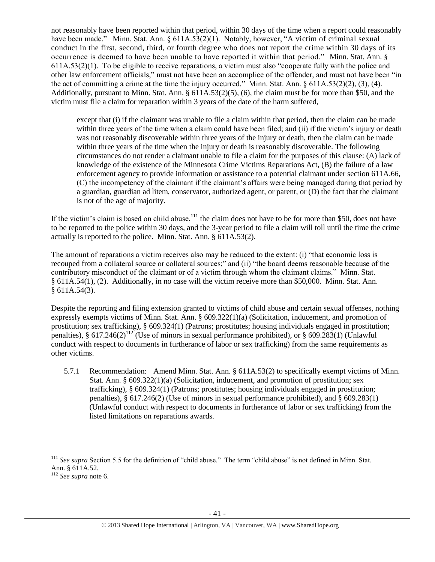not reasonably have been reported within that period, within 30 days of the time when a report could reasonably have been made." Minn. Stat. Ann. § 611A.53(2)(1). Notably, however, "A victim of criminal sexual conduct in the first, second, third, or fourth degree who does not report the crime within 30 days of its occurrence is deemed to have been unable to have reported it within that period." Minn. Stat. Ann. § 611A.53(2)(1). To be eligible to receive reparations, a victim must also "cooperate fully with the police and other law enforcement officials," must not have been an accomplice of the offender, and must not have been "in the act of committing a crime at the time the injury occurred." Minn. Stat. Ann.  $\S 611A.53(2)(2)$ , (3), (4). Additionally, pursuant to Minn. Stat. Ann. § 611A.53(2)(5), (6), the claim must be for more than \$50, and the victim must file a claim for reparation within 3 years of the date of the harm suffered,

except that (i) if the claimant was unable to file a claim within that period, then the claim can be made within three years of the time when a claim could have been filed; and (ii) if the victim's injury or death was not reasonably discoverable within three years of the injury or death, then the claim can be made within three years of the time when the injury or death is reasonably discoverable. The following circumstances do not render a claimant unable to file a claim for the purposes of this clause: (A) lack of knowledge of the existence of the Minnesota Crime Victims Reparations Act, (B) the failure of a law enforcement agency to provide information or assistance to a potential claimant under section 611A.66, (C) the incompetency of the claimant if the claimant's affairs were being managed during that period by a guardian, guardian ad litem, conservator, authorized agent, or parent, or (D) the fact that the claimant is not of the age of majority.

If the victim's claim is based on child abuse,<sup>111</sup> the claim does not have to be for more than \$50, does not have to be reported to the police within 30 days, and the 3-year period to file a claim will toll until the time the crime actually is reported to the police. Minn. Stat. Ann. § 611A.53(2).

The amount of reparations a victim receives also may be reduced to the extent: (i) "that economic loss is recouped from a collateral source or collateral sources;" and (ii) "the board deems reasonable because of the contributory misconduct of the claimant or of a victim through whom the claimant claims." Minn. Stat. § 611A.54(1), (2). Additionally, in no case will the victim receive more than \$50,000. Minn. Stat. Ann. § 611A.54(3).

Despite the reporting and filing extension granted to victims of child abuse and certain sexual offenses, nothing expressly exempts victims of Minn. Stat. Ann. § 609.322(1)(a) (Solicitation, inducement, and promotion of prostitution; sex trafficking), § 609.324(1) (Patrons; prostitutes; housing individuals engaged in prostitution; penalties),  $\S 617.246(2)^{112}$  (Use of minors in sexual performance prohibited), or  $\S 609.283(1)$  (Unlawful conduct with respect to documents in furtherance of labor or sex trafficking) from the same requirements as other victims.

5.7.1 Recommendation: Amend Minn. Stat. Ann. § 611A.53(2) to specifically exempt victims of Minn. Stat. Ann. § 609.322(1)(a) (Solicitation, inducement, and promotion of prostitution; sex trafficking), § 609.324(1) (Patrons; prostitutes; housing individuals engaged in prostitution; penalties), § 617.246(2) (Use of minors in sexual performance prohibited), and § 609.283(1) (Unlawful conduct with respect to documents in furtherance of labor or sex trafficking) from the listed limitations on reparations awards.

 $\overline{\phantom{a}}$ 

<sup>&</sup>lt;sup>111</sup> See supra Section 5.5 for the definition of "child abuse." The term "child abuse" is not defined in Minn. Stat. Ann. § 611A.52.

<sup>112</sup> *See supra* not[e 6.](#page-3-3)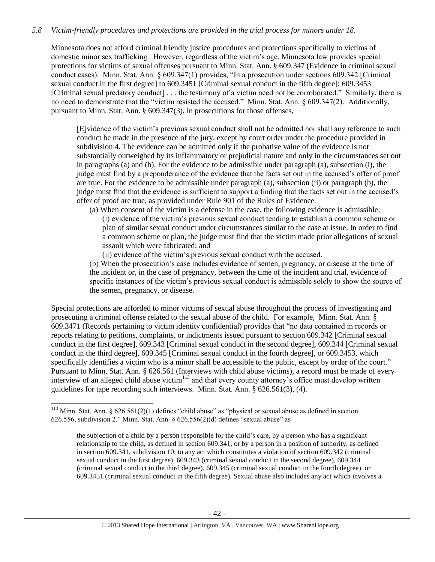# *5.8 Victim-friendly procedures and protections are provided in the trial process for minors under 18.*

Minnesota does not afford criminal friendly justice procedures and protections specifically to victims of domestic minor sex trafficking. However, regardless of the victim's age, Minnesota law provides special protections for victims of sexual offenses pursuant to Minn. Stat. Ann. § 609.347 (Evidence in criminal sexual conduct cases). Minn. Stat. Ann. § 609.347(1) provides, "In a prosecution under sections 609.342 [Criminal sexual conduct in the first degree] to 609.3451 [Criminal sexual conduct in the fifth degree]; 609.3453 [Criminal sexual predatory conduct] . . . the testimony of a victim need not be corroborated." Similarly, there is no need to demonstrate that the "victim resisted the accused." Minn. Stat. Ann. § 609.347(2). Additionally, pursuant to Minn. Stat. Ann. § 609.347(3), in prosecutions for those offenses,

[E]vidence of the victim's previous sexual conduct shall not be admitted nor shall any reference to such conduct be made in the presence of the jury, except by court order under the procedure provided in subdivision 4. The evidence can be admitted only if the probative value of the evidence is not substantially outweighed by its inflammatory or prejudicial nature and only in the circumstances set out in paragraphs (a) and (b). For the evidence to be admissible under paragraph (a), subsection (i), the judge must find by a preponderance of the evidence that the facts set out in the accused's offer of proof are true. For the evidence to be admissible under paragraph (a), subsection (ii) or paragraph (b), the judge must find that the evidence is sufficient to support a finding that the facts set out in the accused's offer of proof are true, as provided under Rule 901 of the Rules of Evidence.

- (a) When consent of the victim is a defense in the case, the following evidence is admissible: (i) evidence of the victim's previous sexual conduct tending to establish a common scheme or plan of similar sexual conduct under circumstances similar to the case at issue. In order to find a common scheme or plan, the judge must find that the victim made prior allegations of sexual assault which were fabricated; and
	- (ii) evidence of the victim's previous sexual conduct with the accused.

(b) When the prosecution's case includes evidence of semen, pregnancy, or disease at the time of the incident or, in the case of pregnancy, between the time of the incident and trial, evidence of specific instances of the victim's previous sexual conduct is admissible solely to show the source of the semen, pregnancy, or disease.

Special protections are afforded to minor victims of sexual abuse throughout the process of investigating and prosecuting a criminal offense related to the sexual abuse of the child. For example, Minn. Stat. Ann. § 609.3471 (Records pertaining to victim identity confidential) provides that "no data contained in records or reports relating to petitions, complaints, or indictments issued pursuant to [section 609.342](http://web2.westlaw.com/find/default.wl?tc=-1&docname=MNSTS609.342&rp=%2ffind%2fdefault.wl&sv=Split&rs=WLW11.04&db=1000044&tf=-1&findtype=L&fn=_top&mt=59&vr=2.0&pbc=5B5D1160&ordoc=3575265) [Criminal sexual conduct in the first degree], [609.343](http://web2.westlaw.com/find/default.wl?tc=-1&docname=MNSTS609.343&rp=%2ffind%2fdefault.wl&sv=Split&rs=WLW11.04&db=1000044&tf=-1&findtype=L&fn=_top&mt=59&vr=2.0&pbc=5B5D1160&ordoc=3575265) [Criminal sexual conduct in the second degree][, 609.344](http://web2.westlaw.com/find/default.wl?tc=-1&docname=MNSTS609.344&rp=%2ffind%2fdefault.wl&sv=Split&rs=WLW11.04&db=1000044&tf=-1&findtype=L&fn=_top&mt=59&vr=2.0&pbc=5B5D1160&ordoc=3575265) [Criminal sexual conduct in the third degree], [609.345](http://web2.westlaw.com/find/default.wl?tc=-1&docname=MNSTS609.345&rp=%2ffind%2fdefault.wl&sv=Split&rs=WLW11.04&db=1000044&tf=-1&findtype=L&fn=_top&mt=59&vr=2.0&pbc=5B5D1160&ordoc=3575265) [Criminal sexual conduct in the fourth degree], or [609.3453,](http://web2.westlaw.com/find/default.wl?tc=-1&docname=MNSTS609.3453&rp=%2ffind%2fdefault.wl&sv=Split&rs=WLW11.04&db=1000044&tf=-1&findtype=L&fn=_top&mt=59&vr=2.0&pbc=5B5D1160&ordoc=3575265) which specifically identifies a victim who is a minor shall be accessible to the public, except by order of the court." Pursuant to Minn. Stat. Ann. § 626.561 (Interviews with child abuse victims), a record must be made of every interview of an alleged child abuse victim $113$  and that every county attorney's office must develop written guidelines for tape recording such interviews. Minn. Stat. Ann. § 626.561(3), (4).

 $\overline{\phantom{a}}$ 

<sup>&</sup>lt;sup>113</sup> Minn. Stat. Ann. §  $626.561(2)(1)$  defines "child abuse" as "physical or sexual abuse as defined in section 626.556, subdivision 2." Minn. Stat. Ann.  $\S$  626.556(2)(d) defines "sexual abuse" as

the subjection of a child by a person responsible for the child's care, by a person who has a significant relationship to the child, as defined in section 609.341, or by a person in a position of authority, as defined in section 609.341, subdivision 10, to any act which constitutes a violation of section 609.342 (criminal sexual conduct in the first degree), 609.343 (criminal sexual conduct in the second degree), 609.344 (criminal sexual conduct in the third degree), 609.345 (criminal sexual conduct in the fourth degree), or 609.3451 (criminal sexual conduct in the fifth degree). Sexual abuse also includes any act which involves a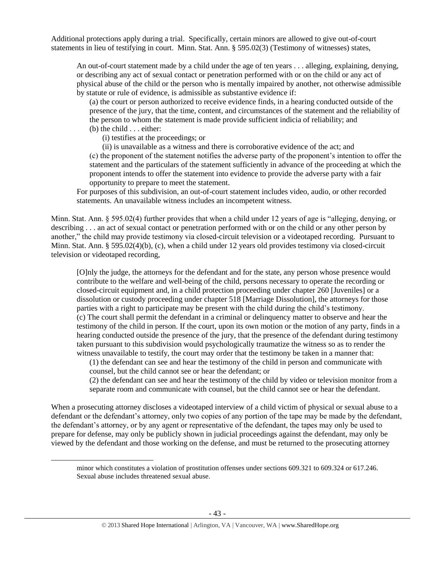Additional protections apply during a trial. Specifically, certain minors are allowed to give out-of-court statements in lieu of testifying in court. Minn. Stat. Ann. § 595.02(3) (Testimony of witnesses) states,

An out-of-court statement made by a child under the age of ten years . . . alleging, explaining, denying, or describing any act of sexual contact or penetration performed with or on the child or any act of physical abuse of the child or the person who is mentally impaired by another, not otherwise admissible by statute or rule of evidence, is admissible as substantive evidence if:

(a) the court or person authorized to receive evidence finds, in a hearing conducted outside of the presence of the jury, that the time, content, and circumstances of the statement and the reliability of the person to whom the statement is made provide sufficient indicia of reliability; and (b) the child . . . either:

(i) testifies at the proceedings; or

l

(ii) is unavailable as a witness and there is corroborative evidence of the act; and

(c) the proponent of the statement notifies the adverse party of the proponent's intention to offer the statement and the particulars of the statement sufficiently in advance of the proceeding at which the proponent intends to offer the statement into evidence to provide the adverse party with a fair opportunity to prepare to meet the statement.

For purposes of this subdivision, an out-of-court statement includes video, audio, or other recorded statements. An unavailable witness includes an incompetent witness.

Minn. Stat. Ann. § 595.02(4) further provides that when a child under 12 years of age is "alleging, denying, or describing . . . an act of sexual contact or penetration performed with or on the child or any other person by another," the child may provide testimony via closed-circuit television or a videotaped recording. Pursuant to Minn. Stat. Ann. § 595.02(4)(b), (c), when a child under 12 years old provides testimony via closed-circuit television or videotaped recording,

[O]nly the judge, the attorneys for the defendant and for the state, any person whose presence would contribute to the welfare and well-being of the child, persons necessary to operate the recording or closed-circuit equipment and, in a child protection proceeding under chapter 260 [Juveniles] or a dissolution or custody proceeding under chapter 518 [Marriage Dissolution], the attorneys for those parties with a right to participate may be present with the child during the child's testimony. (c) The court shall permit the defendant in a criminal or delinquency matter to observe and hear the testimony of the child in person. If the court, upon its own motion or the motion of any party, finds in a hearing conducted outside the presence of the jury, that the presence of the defendant during testimony taken pursuant to this subdivision would psychologically traumatize the witness so as to render the witness unavailable to testify, the court may order that the testimony be taken in a manner that:

(1) the defendant can see and hear the testimony of the child in person and communicate with counsel, but the child cannot see or hear the defendant; or

(2) the defendant can see and hear the testimony of the child by video or television monitor from a separate room and communicate with counsel, but the child cannot see or hear the defendant.

When a prosecuting attorney discloses a videotaped interview of a child victim of physical or sexual abuse to a defendant or the defendant's attorney, only two copies of any portion of the tape may be made by the defendant, the defendant's attorney, or by any agent or representative of the defendant, the tapes may only be used to prepare for defense, may only be publicly shown in judicial proceedings against the defendant, may only be viewed by the defendant and those working on the defense, and must be returned to the prosecuting attorney

minor which constitutes a violation of prostitution offenses under sections 609.321 to 609.324 or 617.246. Sexual abuse includes threatened sexual abuse.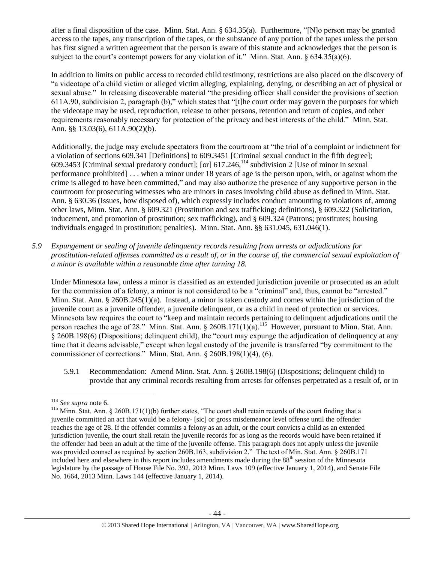after a final disposition of the case. Minn. Stat. Ann. § 634.35(a). Furthermore, "[N]o person may be granted access to the tapes, any transcription of the tapes, or the substance of any portion of the tapes unless the person has first signed a written agreement that the person is aware of this statute and acknowledges that the person is subject to the court's contempt powers for any violation of it." Minn. Stat. Ann.  $\S 634.35(a)(6)$ .

In addition to limits on public access to recorded child testimony, restrictions are also placed on the discovery of "a videotape of a child victim or alleged victim alleging, explaining, denying, or describing an act of physical or sexual abuse." In releasing discoverable material "the presiding officer shall consider the provisions of section 611A.90, subdivision 2, paragraph (b)," which states that "[t]he court order may govern the purposes for which the videotape may be used, reproduction, release to other persons, retention and return of copies, and other requirements reasonably necessary for protection of the privacy and best interests of the child." Minn. Stat. Ann. §§ 13.03(6), 611A.90(2)(b).

Additionally, the judge may exclude spectators from the courtroom at "the trial of a complaint or indictment for a violation of sections 609.341 [Definitions] to 609.3451 [Criminal sexual conduct in the fifth degree]; 609.3453 [Criminal sexual predatory conduct]; [or]  $617.246$ ,  $^{114}$  subdivision 2 [Use of minor in sexual performance prohibited] . . . when a minor under 18 years of age is the person upon, with, or against whom the crime is alleged to have been committed," and may also authorize the presence of any supportive person in the courtroom for prosecuting witnesses who are minors in cases involving child abuse as defined in Minn. Stat. Ann. § 630.36 (Issues, how disposed of), which expressly includes conduct amounting to violations of, among other laws, Minn. Stat. Ann. § 609.321 (Prostitution and sex trafficking; definitions), § 609.322 (Solicitation, inducement, and promotion of prostitution; sex trafficking), and § 609.324 (Patrons; prostitutes; housing individuals engaged in prostitution; penalties). Minn. Stat. Ann. §§ 631.045, 631.046(1).

*5.9 Expungement or sealing of juvenile delinquency records resulting from arrests or adjudications for prostitution-related offenses committed as a result of, or in the course of, the commercial sexual exploitation of a minor is available within a reasonable time after turning 18.*

Under Minnesota law, unless a minor is classified as an extended jurisdiction juvenile or prosecuted as an adult for the commission of a felony, a minor is not considered to be a "criminal" and, thus, cannot be "arrested." Minn. Stat. Ann. § 260B.245(1)(a). Instead, a minor is taken custody and comes within the jurisdiction of the juvenile court as a juvenile offender, a juvenile delinquent, or as a child in need of protection or services. Minnesota law requires the court to "keep and maintain records pertaining to delinquent adjudications until the person reaches the age of 28." Minn. Stat. Ann. § 260B.171(1)(a).<sup>115</sup> However, pursuant to Minn. Stat. Ann. § 260B.198(6) (Dispositions; delinquent child), the "court may expunge the adjudication of delinquency at any time that it deems advisable," except when legal custody of the juvenile is transferred "by commitment to the commissioner of corrections." Minn. Stat. Ann. § 260B.198(1)(4), (6).

5.9.1 Recommendation: Amend Minn. Stat. Ann. § 260B.198(6) (Dispositions; delinquent child) to provide that any criminal records resulting from arrests for offenses perpetrated as a result of, or in

<sup>114</sup> *See supra* not[e 6.](#page-3-3)

<sup>&</sup>lt;sup>115</sup> Minn. Stat. Ann. § 260B.171(1)(b) further states, "The court shall retain records of the court finding that a juvenile committed an act that would be a felony- [sic] or gross misdemeanor level offense until the offender reaches the age of 28. If the offender commits a felony as an adult, or the court convicts a child as an extended jurisdiction juvenile, the court shall retain the juvenile records for as long as the records would have been retained if the offender had been an adult at the time of the juvenile offense. This paragraph does not apply unless the juvenile was provided counsel as required by section 260B.163, subdivision 2." The text of Min. Stat. Ann. § 260B.171 included here and elsewhere in this report includes amendments made during the  $88<sup>th</sup>$  session of the Minnesota legislature by the passage of House File No. 392, 2013 Minn. Laws 109 (effective January 1, 2014), and Senate File No. 1664, 2013 Minn. Laws 144 (effective January 1, 2014).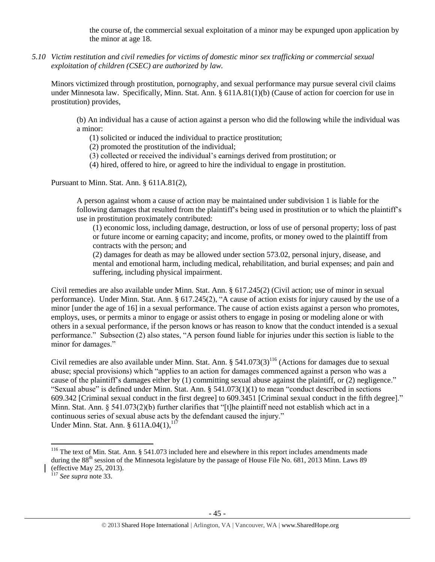the course of, the commercial sexual exploitation of a minor may be expunged upon application by the minor at age 18.

*5.10 Victim restitution and civil remedies for victims of domestic minor sex trafficking or commercial sexual exploitation of children (CSEC) are authorized by law.* 

Minors victimized through prostitution, pornography, and sexual performance may pursue several civil claims under Minnesota law. Specifically, Minn. Stat. Ann. § 611A.81(1)(b) (Cause of action for coercion for use in prostitution) provides,

(b) An individual has a cause of action against a person who did the following while the individual was a minor:

(1) solicited or induced the individual to practice prostitution;

(2) promoted the prostitution of the individual;

- (3) collected or received the individual's earnings derived from prostitution; or
- (4) hired, offered to hire, or agreed to hire the individual to engage in prostitution.

Pursuant to Minn. Stat. Ann. § 611A.81(2),

A person against whom a cause of action may be maintained under subdivision 1 is liable for the following damages that resulted from the plaintiff's being used in prostitution or to which the plaintiff's use in prostitution proximately contributed:

(1) economic loss, including damage, destruction, or loss of use of personal property; loss of past or future income or earning capacity; and income, profits, or money owed to the plaintiff from contracts with the person; and

<span id="page-44-0"></span>(2) damages for death as may be allowed under section 573.02, personal injury, disease, and mental and emotional harm, including medical, rehabilitation, and burial expenses; and pain and suffering, including physical impairment.

Civil remedies are also available under Minn. Stat. Ann. § 617.245(2) (Civil action; use of minor in sexual performance). Under Minn. Stat. Ann. § 617.245(2), "A cause of action exists for injury caused by the use of a minor [under the age of 16] in a sexual performance. The cause of action exists against a person who promotes, employs, uses, or permits a minor to engage or assist others to engage in posing or modeling alone or with others in a sexual performance, if the person knows or has reason to know that the conduct intended is a sexual performance." Subsection (2) also states, "A person found liable for injuries under this section is liable to the minor for damages."

Civil remedies are also available under Minn. Stat. Ann.  $\S 541.073(3)^{116}$  (Actions for damages due to sexual abuse; special provisions) which "applies to an action for damages commenced against a person who was a cause of the plaintiff's damages either by (1) committing sexual abuse against the plaintiff, or (2) negligence." "Sexual abuse" is defined under Minn. Stat. Ann.  $\S$  541.073(1)(1) to mean "conduct described in sections 609.342 [Criminal sexual conduct in the first degree] to 609.3451 [Criminal sexual conduct in the fifth degree]." Minn. Stat. Ann. § 541.073(2)(b) further clarifies that "[t]he plaintiff need not establish which act in a continuous series of sexual abuse acts by the defendant caused the injury." Under Minn. Stat. Ann. §  $611A.04(1)$ ,  $117$ 

<sup>&</sup>lt;sup>116</sup> The text of Min. Stat. Ann. § 541.073 included here and elsewhere in this report includes amendments made during the 88<sup>th</sup> session of the Minnesota legislature by the passage of House File No. 681, 2013 Minn. Laws 89 (effective May 25, 2013).

<sup>117</sup> *See supra* not[e 33.](#page-13-2)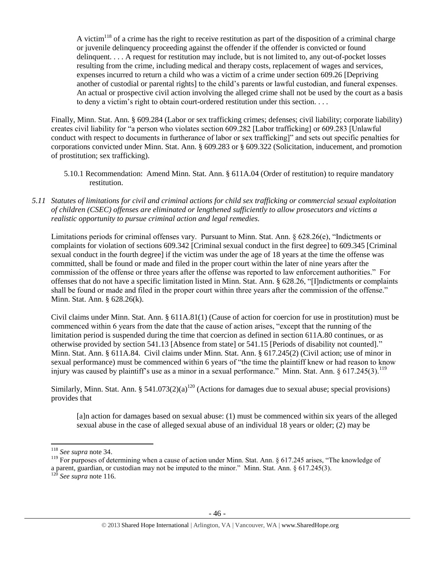A victim<sup>118</sup> of a crime has the right to receive restitution as part of the disposition of a criminal charge or juvenile delinquency proceeding against the offender if the offender is convicted or found delinquent. . . . A request for restitution may include, but is not limited to, any out-of-pocket losses resulting from the crime, including medical and therapy costs, replacement of wages and services, expenses incurred to return a child who was a victim of a crime under section 609.26 [Depriving another of custodial or parental rights] to the child's parents or lawful custodian, and funeral expenses. An actual or prospective civil action involving the alleged crime shall not be used by the court as a basis to deny a victim's right to obtain court-ordered restitution under this section. . . .

Finally, Minn. Stat. Ann. § 609.284 (Labor or sex trafficking crimes; defenses; civil liability; corporate liability) creates civil liability for "a person who violates section 609.282 [Labor trafficking] or 609.283 [Unlawful conduct with respect to documents in furtherance of labor or sex trafficking]" and sets out specific penalties for corporations convicted under Minn. Stat. Ann. § 609.283 or § 609.322 (Solicitation, inducement, and promotion of prostitution; sex trafficking).

- 5.10.1 Recommendation: Amend Minn. Stat. Ann. § 611A.04 (Order of restitution) to require mandatory restitution.
- *5.11 Statutes of limitations for civil and criminal actions for child sex trafficking or commercial sexual exploitation of children (CSEC) offenses are eliminated or lengthened sufficiently to allow prosecutors and victims a realistic opportunity to pursue criminal action and legal remedies.*

Limitations periods for criminal offenses vary. Pursuant to Minn. Stat. Ann. § 628.26(e), "Indictments or complaints for violation of sections 609.342 [Criminal sexual conduct in the first degree] to 609.345 [Criminal sexual conduct in the fourth degree] if the victim was under the age of 18 years at the time the offense was committed, shall be found or made and filed in the proper court within the later of nine years after the commission of the offense or three years after the offense was reported to law enforcement authorities." For offenses that do not have a specific limitation listed in Minn. Stat. Ann. § 628.26, "[I]ndictments or complaints shall be found or made and filed in the proper court within three years after the commission of the offense." Minn. Stat. Ann. § 628.26(k).

Civil claims under Minn. Stat. Ann. § 611A.81(1) (Cause of action for coercion for use in prostitution) must be commenced within 6 years from the date that the cause of action arises, "except that the running of the limitation period is suspended during the time that coercion as defined in section 611A.80 continues, or as otherwise provided by section 541.13 [Absence from state] or 541.15 [Periods of disability not counted]." Minn. Stat. Ann. § 611A.84. Civil claims under Minn. Stat. Ann. § 617.245(2) (Civil action; use of minor in sexual performance) must be commenced within 6 years of "the time the plaintiff knew or had reason to know injury was caused by plaintiff's use as a minor in a sexual performance." Minn. Stat. Ann. § 617.245(3).<sup>119</sup>

Similarly, Minn. Stat. Ann. § 541.073(2)(a)<sup>120</sup> (Actions for damages due to sexual abuse; special provisions) provides that

[a]n action for damages based on sexual abuse: (1) must be commenced within six years of the alleged sexual abuse in the case of alleged sexual abuse of an individual 18 years or older; (2) may be

<sup>118</sup> *See supra* not[e 34.](#page-13-3)

<sup>&</sup>lt;sup>119</sup> For purposes of determining when a cause of action under Minn. Stat. Ann. § 617.245 arises, "The knowledge of a parent, guardian, or custodian may not be imputed to the minor." Minn. Stat. Ann. § 617.245(3).

<sup>120</sup> *See supra* not[e 116.](#page-44-0)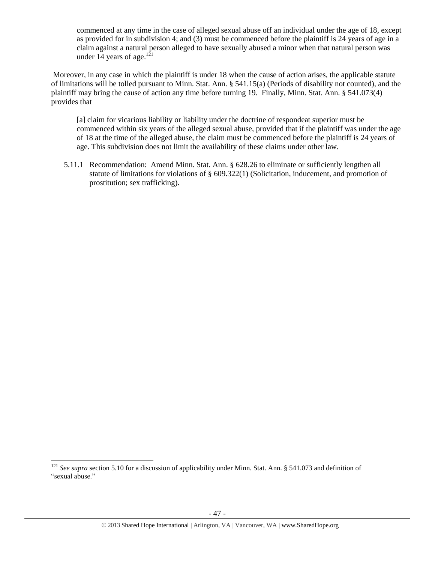commenced at any time in the case of alleged sexual abuse off an individual under the age of 18, except as provided for in subdivision 4; and (3) must be commenced before the plaintiff is 24 years of age in a claim against a natural person alleged to have sexually abused a minor when that natural person was under 14 years of age. $1^{21}$ 

Moreover, in any case in which the plaintiff is under 18 when the cause of action arises, the applicable statute of limitations will be tolled pursuant to Minn. Stat. Ann. § 541.15(a) (Periods of disability not counted), and the plaintiff may bring the cause of action any time before turning 19. Finally, Minn. Stat. Ann. § 541.073(4) provides that

[a] claim for vicarious liability or liability under the doctrine of respondeat superior must be commenced within six years of the alleged sexual abuse, provided that if the plaintiff was under the age of 18 at the time of the alleged abuse, the claim must be commenced before the plaintiff is 24 years of age. This subdivision does not limit the availability of these claims under other law.

5.11.1 Recommendation: Amend Minn. Stat. Ann. § 628.26 to eliminate or sufficiently lengthen all statute of limitations for violations of § 609.322(1) (Solicitation, inducement, and promotion of prostitution; sex trafficking).

l

<sup>&</sup>lt;sup>121</sup> *See supra* section 5.10 for a discussion of applicability under Minn. Stat. Ann. § 541.073 and definition of "sexual abuse."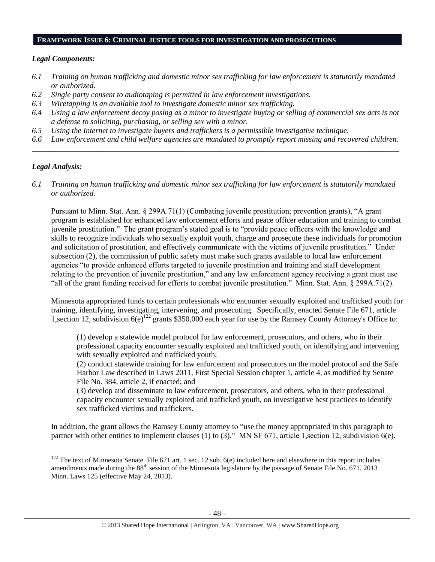#### **FRAMEWORK ISSUE 6: CRIMINAL JUSTICE TOOLS FOR INVESTIGATION AND PROSECUTIONS**

#### *Legal Components:*

- *6.1 Training on human trafficking and domestic minor sex trafficking for law enforcement is statutorily mandated or authorized.*
- *6.2 Single party consent to audiotaping is permitted in law enforcement investigations.*
- *6.3 Wiretapping is an available tool to investigate domestic minor sex trafficking.*
- *6.4 Using a law enforcement decoy posing as a minor to investigate buying or selling of commercial sex acts is not a defense to soliciting, purchasing, or selling sex with a minor.*
- *6.5 Using the Internet to investigate buyers and traffickers is a permissible investigative technique.*
- *6.6 Law enforcement and child welfare agencies are mandated to promptly report missing and recovered children. \_\_\_\_\_\_\_\_\_\_\_\_\_\_\_\_\_\_\_\_\_\_\_\_\_\_\_\_\_\_\_\_\_\_\_\_\_\_\_\_\_\_\_\_\_\_\_\_\_\_\_\_\_\_\_\_\_\_\_\_\_\_\_\_\_\_\_\_\_\_\_\_\_\_\_\_\_\_\_\_\_\_\_\_\_\_\_\_\_\_\_\_\_\_*

## *Legal Analysis:*

 $\overline{\phantom{a}}$ 

*6.1 Training on human trafficking and domestic minor sex trafficking for law enforcement is statutorily mandated or authorized.*

Pursuant to Minn. Stat. Ann. § 299A.71(1) (Combating juvenile prostitution; prevention grants), "A grant program is established for enhanced law enforcement efforts and peace officer education and training to combat juvenile prostitution." The grant program's stated goal is to "provide peace officers with the knowledge and skills to recognize individuals who sexually exploit youth, charge and prosecute these individuals for promotion and solicitation of prostitution, and effectively communicate with the victims of juvenile prostitution." Under subsection (2), the commission of public safety must make such grants available to local law enforcement agencies "to provide enhanced efforts targeted to juvenile prostitution and training and staff development relating to the prevention of juvenile prostitution," and any law enforcement agency receiving a grant must use "all of the grant funding received for efforts to combat juvenile prostitution." Minn. Stat. Ann. § 299A.71(2).

Minnesota appropriated funds to certain professionals who encounter sexually exploited and trafficked youth for training, identifying, investigating, intervening, and prosecuting. Specifically, enacted Senate File 671, article 1, section 12, subdivision  $6(e)^{122}$  grants \$350,000 each year for use by the Ramsey County Attorney's Office to:

(1) develop a statewide model protocol for law enforcement, prosecutors, and others, who in their professional capacity encounter sexually exploited and trafficked youth, on identifying and intervening with sexually exploited and trafficked youth;

(2) conduct statewide training for law enforcement and prosecutors on the model protocol and the Safe Harbor Law described in Laws 2011, First Special Session chapter 1, article 4, as modified by Senate File No. 384, article 2, if enacted; and

(3) develop and disseminate to law enforcement, prosecutors, and others, who in their professional capacity encounter sexually exploited and trafficked youth, on investigative best practices to identify sex trafficked victims and traffickers.

In addition, the grant allows the Ramsey County attorney to "use the money appropriated in this paragraph to partner with other entities to implement clauses (1) to (3)." MN SF 671, article 1, section 12, subdivision 6(e).

 $122$  The text of Minnesota Senate File 671 art. 1 sec. 12 sub. 6(e) included here and elsewhere in this report includes amendments made during the 88<sup>th</sup> session of the Minnesota legislature by the passage of Senate File No. 671, 2013 Minn. Laws 125 (effective May 24, 2013).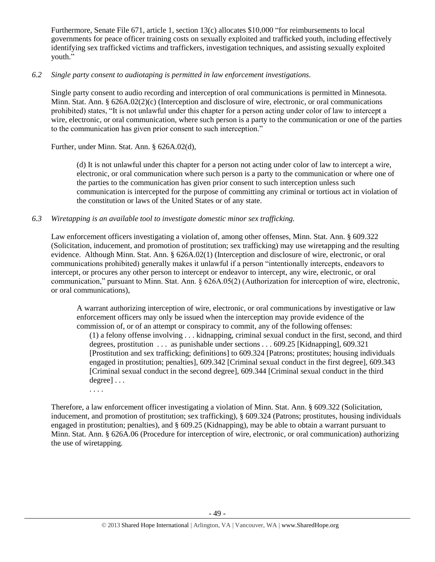Furthermore, Senate File 671, article 1, section 13(c) allocates \$10,000 "for reimbursements to local governments for peace officer training costs on sexually exploited and trafficked youth, including effectively identifying sex trafficked victims and traffickers, investigation techniques, and assisting sexually exploited youth."

# *6.2 Single party consent to audiotaping is permitted in law enforcement investigations.*

Single party consent to audio recording and interception of oral communications is permitted in Minnesota. Minn. Stat. Ann. § 626A.02(2)(c) (Interception and disclosure of wire, electronic, or oral communications prohibited) states, "It is not unlawful under this chapter for a person acting under color of law to intercept a wire, electronic, or oral communication, where such person is a party to the communication or one of the parties to the communication has given prior consent to such interception."

Further, under Minn. Stat. Ann. § 626A.02(d),

(d) It is not unlawful under this chapter for a person not acting under color of law to intercept a wire, electronic, or oral communication where such person is a party to the communication or where one of the parties to the communication has given prior consent to such interception unless such communication is intercepted for the purpose of committing any criminal or tortious act in violation of the constitution or laws of the United States or of any state.

# *6.3 Wiretapping is an available tool to investigate domestic minor sex trafficking.*

Law enforcement officers investigating a violation of, among other offenses, Minn. Stat. Ann. § 609.322 (Solicitation, inducement, and promotion of prostitution; sex trafficking) may use wiretapping and the resulting evidence. Although Minn. Stat. Ann. § 626A.02(1) (Interception and disclosure of wire, electronic, or oral communications prohibited) generally makes it unlawful if a person "intentionally intercepts, endeavors to intercept, or procures any other person to intercept or endeavor to intercept, any wire, electronic, or oral communication," pursuant to Minn. Stat. Ann. § 626A.05(2) (Authorization for interception of wire, electronic, or oral communications),

A warrant authorizing interception of wire, electronic, or oral communications by investigative or law enforcement officers may only be issued when the interception may provide evidence of the commission of, or of an attempt or conspiracy to commit, any of the following offenses:

(1) a felony offense involving . . . kidnapping, criminal sexual conduct in the first, second, and third degrees, prostitution . . . as punishable under sections . . . 609.25 [Kidnapping], 609.321 [Prostitution and sex trafficking; definitions] to 609.324 [Patrons; prostitutes; housing individuals engaged in prostitution; penalties], 609.342 [Criminal sexual conduct in the first degree], 609.343 [Criminal sexual conduct in the second degree], 609.344 [Criminal sexual conduct in the third degree] . . .

. . . .

Therefore, a law enforcement officer investigating a violation of Minn. Stat. Ann. § 609.322 (Solicitation, inducement, and promotion of prostitution; sex trafficking), § 609.324 (Patrons; prostitutes, housing individuals engaged in prostitution; penalties), and § 609.25 (Kidnapping), may be able to obtain a warrant pursuant to Minn. Stat. Ann. § 626A.06 (Procedure for interception of wire, electronic, or oral communication) authorizing the use of wiretapping.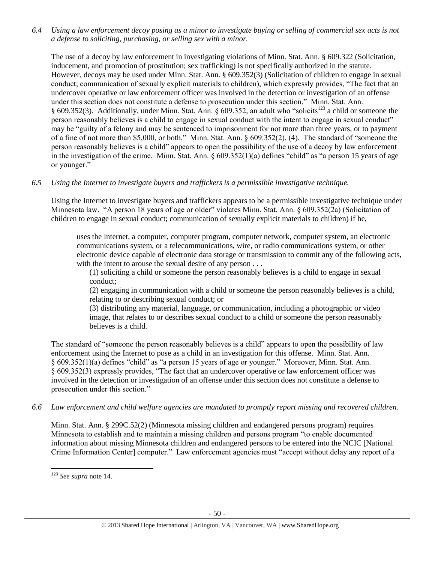*6.4 Using a law enforcement decoy posing as a minor to investigate buying or selling of commercial sex acts is not a defense to soliciting, purchasing, or selling sex with a minor.*

The use of a decoy by law enforcement in investigating violations of Minn. Stat. Ann. § 609.322 (Solicitation, inducement, and promotion of prostitution; sex trafficking) is not specifically authorized in the statute. However, decoys may be used under Minn. Stat. Ann. § 609.352(3) (Solicitation of children to engage in sexual conduct; communication of sexually explicit materials to children), which expressly provides, "The fact that an undercover operative or law enforcement officer was involved in the detection or investigation of an offense under this section does not constitute a defense to prosecution under this section." Minn. Stat. Ann. § 609.352(3). Additionally, under Minn. Stat. Ann. § 609.352, an adult who "solicits<sup>123</sup> a child or someone the person reasonably believes is a child to engage in sexual conduct with the intent to engage in sexual conduct" may be "guilty of a felony and may be sentenced to imprisonment for not more than three years, or to payment of a fine of not more than \$5,000, or both." Minn. Stat. Ann. § 609.352(2), (4). The standard of "someone the person reasonably believes is a child" appears to open the possibility of the use of a decoy by law enforcement in the investigation of the crime. Minn. Stat. Ann. § 609.352(1)(a) defines "child" as "a person 15 years of age or younger."

## *6.5 Using the Internet to investigate buyers and traffickers is a permissible investigative technique.*

Using the Internet to investigate buyers and traffickers appears to be a permissible investigative technique under Minnesota law. "A person 18 years of age or older" violates Minn. Stat. Ann. § 609.352(2a) (Solicitation of children to engage in sexual conduct; communication of sexually explicit materials to children) if he,

uses the Internet, a computer, computer program, computer network, computer system, an electronic communications system, or a telecommunications, wire, or radio communications system, or other electronic device capable of electronic data storage or transmission to commit any of the following acts, with the intent to arouse the sexual desire of any person . . .

(1) soliciting a child or someone the person reasonably believes is a child to engage in sexual conduct;

(2) engaging in communication with a child or someone the person reasonably believes is a child, relating to or describing sexual conduct; or

(3) distributing any material, language, or communication, including a photographic or video image, that relates to or describes sexual conduct to a child or someone the person reasonably believes is a child.

The standard of "someone the person reasonably believes is a child" appears to open the possibility of law enforcement using the Internet to pose as a child in an investigation for this offense. Minn. Stat. Ann. § 609.352(1)(a) defines "child" as "a person 15 years of age or younger." Moreover, Minn. Stat. Ann. § 609.352(3) expressly provides, "The fact that an undercover operative or law enforcement officer was involved in the detection or investigation of an offense under this section does not constitute a defense to prosecution under this section."

*6.6 Law enforcement and child welfare agencies are mandated to promptly report missing and recovered children.*

Minn. Stat. Ann. § 299C.52(2) (Minnesota missing children and endangered persons program) requires Minnesota to establish and to maintain a missing children and persons program "to enable documented information about missing Minnesota children and endangered persons to be entered into the NCIC [National Crime Information Center] computer." Law enforcement agencies must "accept without delay any report of a

 $\overline{a}$ <sup>123</sup> *See supra* not[e 14.](#page-6-0)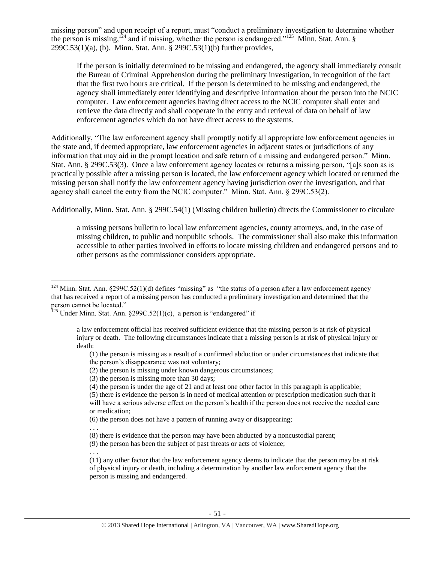missing person" and upon receipt of a report, must "conduct a preliminary investigation to determine whether the person is missing,<sup>124</sup> and if missing, whether the person is endangered."<sup>125</sup> Minn. Stat. Ann. § 299C.53(1)(a), (b). Minn. Stat. Ann. § 299C.53(1)(b) further provides,

If the person is initially determined to be missing and endangered, the agency shall immediately consult the Bureau of Criminal Apprehension during the preliminary investigation, in recognition of the fact that the first two hours are critical. If the person is determined to be missing and endangered, the agency shall immediately enter identifying and descriptive information about the person into the NCIC computer. Law enforcement agencies having direct access to the NCIC computer shall enter and retrieve the data directly and shall cooperate in the entry and retrieval of data on behalf of law enforcement agencies which do not have direct access to the systems.

Additionally, "The law enforcement agency shall promptly notify all appropriate law enforcement agencies in the state and, if deemed appropriate, law enforcement agencies in adjacent states or jurisdictions of any information that may aid in the prompt location and safe return of a missing and endangered person." Minn. Stat. Ann. § 299C.53(3). Once a law enforcement agency locates or returns a missing person, "[a]s soon as is practically possible after a missing person is located, the law enforcement agency which located or returned the missing person shall notify the law enforcement agency having jurisdiction over the investigation, and that agency shall cancel the entry from the NCIC computer." Minn. Stat. Ann. § 299C.53(2).

Additionally, Minn. Stat. Ann. § 299C.54(1) (Missing children bulletin) directs the Commissioner to circulate

a missing persons bulletin to local law enforcement agencies, county attorneys, and, in the case of missing children, to public and nonpublic schools. The commissioner shall also make this information accessible to other parties involved in efforts to locate missing children and endangered persons and to other persons as the commissioner considers appropriate.

 $\overline{\phantom{a}}$ 

<sup>&</sup>lt;sup>124</sup> Minn. Stat. Ann. §299C.52(1)(d) defines "missing" as "the status of a person after a law enforcement agency that has received a report of a missing person has conducted a preliminary investigation and determined that the person cannot be located."

 $125$  Under Minn. Stat. Ann. §299C.52(1)(c), a person is "endangered" if

a law enforcement official has received sufficient evidence that the missing person is at risk of physical injury or death. The following circumstances indicate that a missing person is at risk of physical injury or death:

<sup>(1)</sup> the person is missing as a result of a confirmed abduction or under circumstances that indicate that the person's disappearance was not voluntary;

<sup>(2)</sup> the person is missing under known dangerous circumstances;

<sup>(3)</sup> the person is missing more than 30 days;

<sup>(4)</sup> the person is under the age of 21 and at least one other factor in this paragraph is applicable;

<sup>(5)</sup> there is evidence the person is in need of medical attention or prescription medication such that it will have a serious adverse effect on the person's health if the person does not receive the needed care or medication;

<sup>(6)</sup> the person does not have a pattern of running away or disappearing;

<sup>. . .</sup>

<sup>(8)</sup> there is evidence that the person may have been abducted by a noncustodial parent;

<sup>(9)</sup> the person has been the subject of past threats or acts of violence;

<sup>. . .</sup>

<sup>(11)</sup> any other factor that the law enforcement agency deems to indicate that the person may be at risk of physical injury or death, including a determination by another law enforcement agency that the person is missing and endangered.